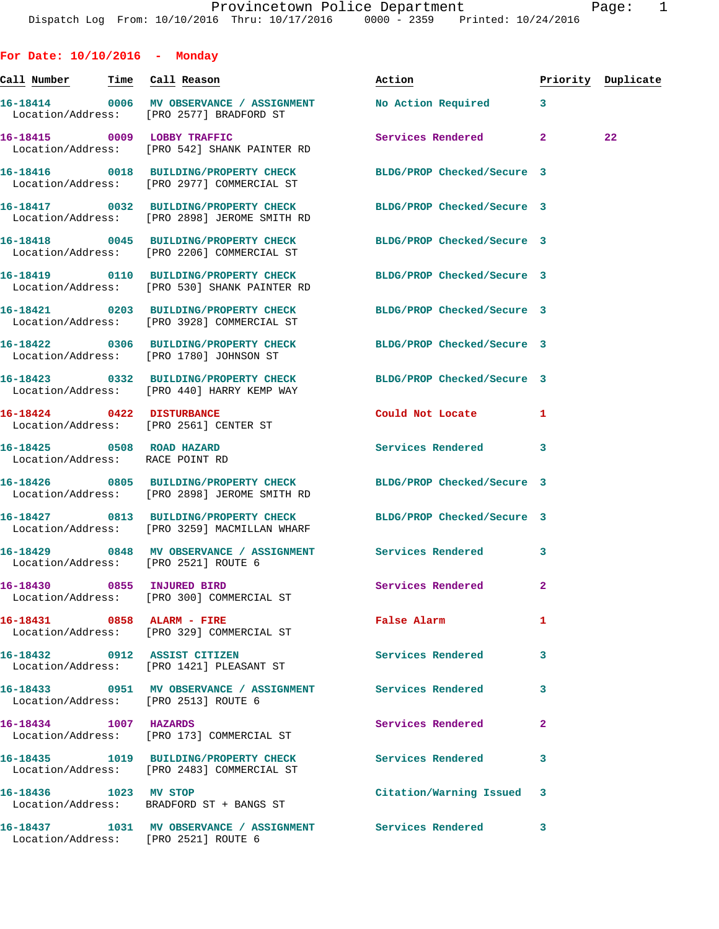**For Date: 10/10/2016 - Monday Call Number Time Call Reason Action Priority Duplicate 16-18414 0006 MV OBSERVANCE / ASSIGNMENT No Action Required 3**  Location/Address: [PRO 2577] BRADFORD ST 16-18415 0009 LOBBY TRAFFIC Services Rendered 2 22 Location/Address: [PRO 542] SHANK PAINTER RD **16-18416 0018 BUILDING/PROPERTY CHECK BLDG/PROP Checked/Secure 3**  Location/Address: [PRO 2977] COMMERCIAL ST **16-18417 0032 BUILDING/PROPERTY CHECK BLDG/PROP Checked/Secure 3**  Location/Address: [PRO 2898] JEROME SMITH RD **16-18418 0045 BUILDING/PROPERTY CHECK BLDG/PROP Checked/Secure 3**  Location/Address: [PRO 2206] COMMERCIAL ST **16-18419 0110 BUILDING/PROPERTY CHECK BLDG/PROP Checked/Secure 3**  Location/Address: [PRO 530] SHANK PAINTER RD **16-18421 0203 BUILDING/PROPERTY CHECK BLDG/PROP Checked/Secure 3**  Location/Address: [PRO 3928] COMMERCIAL ST **16-18422 0306 BUILDING/PROPERTY CHECK BLDG/PROP Checked/Secure 3**  Location/Address: [PRO 1780] JOHNSON ST **16-18423 0332 BUILDING/PROPERTY CHECK BLDG/PROP Checked/Secure 3**  Location/Address: [PRO 440] HARRY KEMP WAY **16-18424 0422 DISTURBANCE Could Not Locate 1**  Location/Address: [PRO 2561] CENTER ST **16-18425 0508 ROAD HAZARD Services Rendered 3**  Location/Address: RACE POINT RD **16-18426 0805 BUILDING/PROPERTY CHECK BLDG/PROP Checked/Secure 3**  Location/Address: [PRO 2898] JEROME SMITH RD **16-18427 0813 BUILDING/PROPERTY CHECK BLDG/PROP Checked/Secure 3**  Location/Address: [PRO 3259] MACMILLAN WHARF **16-18429 0848 MV OBSERVANCE / ASSIGNMENT Services Rendered 3**  Location/Address: [PRO 2521] ROUTE 6 **16-18430 0855 INJURED BIRD Services Rendered 2**  Location/Address: [PRO 300] COMMERCIAL ST **16-18431 0858 ALARM - FIRE False Alarm 1**  Location/Address: [PRO 329] COMMERCIAL ST **16-18432 0912 ASSIST CITIZEN Services Rendered 3**  Location/Address: [PRO 1421] PLEASANT ST **16-18433 0951 MV OBSERVANCE / ASSIGNMENT Services Rendered 3**  Location/Address: [PRO 2513] ROUTE 6 **16-18434 1007 HAZARDS Services Rendered 2**  Location/Address: [PRO 173] COMMERCIAL ST **16-18435 1019 BUILDING/PROPERTY CHECK Services Rendered 3**  Location/Address: [PRO 2483] COMMERCIAL ST **16-18436 1023 MV STOP Citation/Warning Issued 3** 

Location/Address: BRADFORD ST + BANGS ST

**16-18437 1031 MV OBSERVANCE / ASSIGNMENT Services Rendered 3**  Location/Address: [PRO 2521] ROUTE 6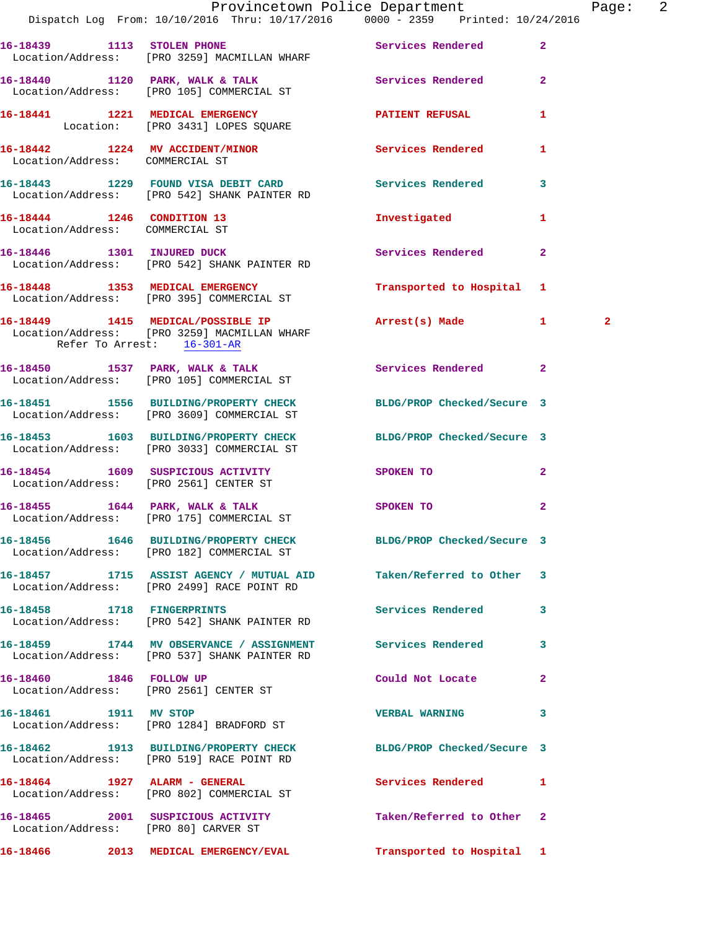|                                 |                                                                                        | Provincetown Police Department                                                                          | Page: 2      |
|---------------------------------|----------------------------------------------------------------------------------------|---------------------------------------------------------------------------------------------------------|--------------|
|                                 |                                                                                        | Dispatch Log From: 10/10/2016 Thru: 10/17/2016 0000 - 2359 Printed: 10/24/2016                          |              |
|                                 | Location/Address: [PRO 3259] MACMILLAN WHARF                                           | 16-18439 1113 STOLEN PHONE 1113 STOLEN PHONE                                                            |              |
|                                 |                                                                                        | 16-18440 1120 PARK, WALK & TALK Services Rendered 2<br>Location/Address: [PRO 105] COMMERCIAL ST        |              |
|                                 |                                                                                        | 16-18441 1221 MEDICAL EMERGENCY PATIENT REFUSAL Location: [PRO 3431] LOPES SQUARE                       |              |
| Location/Address: COMMERCIAL ST |                                                                                        | 16-18442 1224 MV ACCIDENT/MINOR Services Rendered 1                                                     |              |
|                                 |                                                                                        | 16-18443 1229 FOUND VISA DEBIT CARD Services Rendered 3<br>Location/Address: [PRO 542] SHANK PAINTER RD |              |
| Location/Address: COMMERCIAL ST | 16-18444 1246 CONDITION 13                                                             | Investigated 1                                                                                          |              |
|                                 | 16-18446 1301 INJURED DUCK<br>Location/Address: [PRO 542] SHANK PAINTER RD             | Services Rendered 2                                                                                     |              |
|                                 | Location/Address: [PRO 395] COMMERCIAL ST                                              | 16-18448 1353 MEDICAL EMERGENCY 1 Transported to Hospital 1                                             |              |
| Refer To Arrest: 16-301-AR      | Location/Address: [PRO 3259] MACMILLAN WHARF                                           | 16-18449 1415 MEDICAL/POSSIBLE IP Arrest(s) Made 1                                                      | $\mathbf{2}$ |
|                                 |                                                                                        | 16-18450 1537 PARK, WALK & TALK STARE Services Rendered 2<br>Location/Address: [PRO 105] COMMERCIAL ST  |              |
|                                 | Location/Address: [PRO 3609] COMMERCIAL ST                                             | 16-18451 1556 BUILDING/PROPERTY CHECK BLDG/PROP Checked/Secure 3                                        |              |
|                                 | Location/Address: [PRO 3033] COMMERCIAL ST                                             | 16-18453 1603 BUILDING/PROPERTY CHECK BLDG/PROP Checked/Secure 3                                        |              |
|                                 | 16-18454 1609 SUSPICIOUS ACTIVITY<br>Location/Address: [PRO 2561] CENTER ST            | SPOKEN TO<br>$\mathbf{2}$                                                                               |              |
|                                 | 16-18455 1644 PARK, WALK & TALK SPOKEN TO<br>Location/Address: [PRO 175] COMMERCIAL ST | $\mathbf{2}$                                                                                            |              |
|                                 | Location/Address: [PRO 182] COMMERCIAL ST                                              | 16-18456 1646 BUILDING/PROPERTY CHECK BLDG/PROP Checked/Secure 3                                        |              |
|                                 | Location/Address: [PRO 2499] RACE POINT RD                                             | 16-18457 1715 ASSIST AGENCY / MUTUAL AID Taken/Referred to Other 3                                      |              |
| 16-18458 1718 FINGERPRINTS      | Location/Address: [PRO 542] SHANK PAINTER RD                                           | Services Rendered 3                                                                                     |              |
|                                 | Location/Address: [PRO 537] SHANK PAINTER RD                                           | 16-18459 1744 MV OBSERVANCE / ASSIGNMENT Services Rendered 3                                            |              |
| 16-18460 1846 FOLLOW UP         | Location/Address: [PRO 2561] CENTER ST                                                 | Could Not Locate 2                                                                                      |              |
| 16-18461 1911 MV STOP           | Location/Address: [PRO 1284] BRADFORD ST                                               | <b>VERBAL WARNING</b><br>3                                                                              |              |
|                                 | Location/Address: [PRO 519] RACE POINT RD                                              | 16-18462 1913 BUILDING/PROPERTY CHECK BLDG/PROP Checked/Secure 3                                        |              |
|                                 | 16-18464 1927 ALARM - GENERAL<br>Location/Address: [PRO 802] COMMERCIAL ST             | Services Rendered 1                                                                                     |              |
|                                 | 16-18465 2001 SUSPICIOUS ACTIVITY<br>Location/Address: [PRO 80] CARVER ST              | Taken/Referred to Other 2                                                                               |              |
|                                 | 16-18466 2013 MEDICAL EMERGENCY/EVAL                                                   | Transported to Hospital 1                                                                               |              |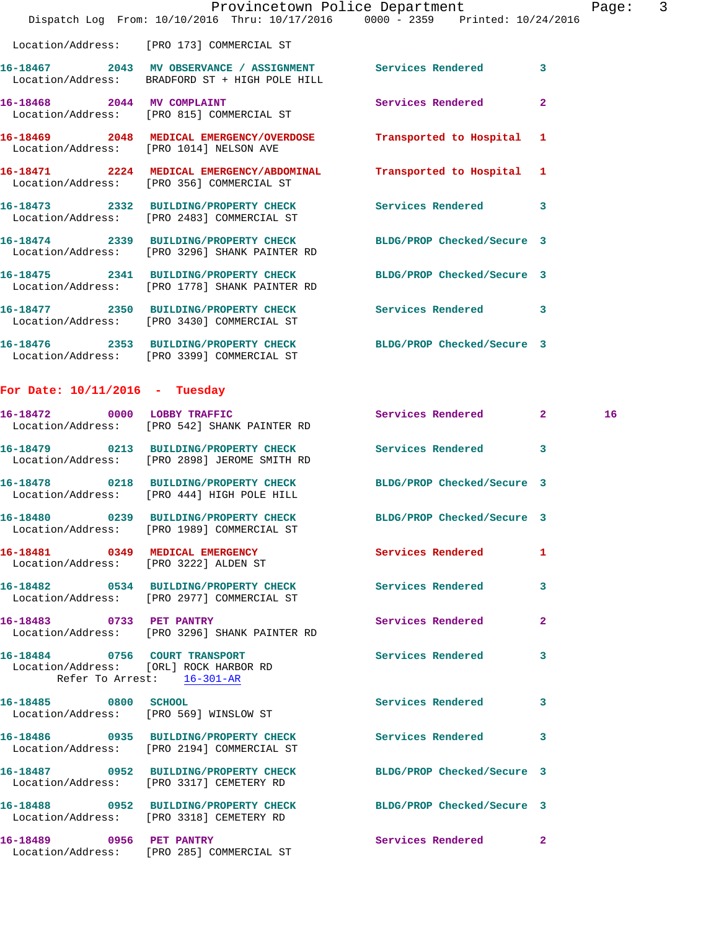| Dispatch Log From: 10/10/2016 Thru: 10/17/2016 0000 - 2359 Printed: 10/24/2016                                    | Provincetown Police Department | $\overline{3}$<br>Page: |
|-------------------------------------------------------------------------------------------------------------------|--------------------------------|-------------------------|
| Location/Address: [PRO 173] COMMERCIAL ST                                                                         |                                |                         |
| 16-18467 2043 MV OBSERVANCE / ASSIGNMENT Services Rendered 3<br>Location/Address: BRADFORD ST + HIGH POLE HILL    |                                |                         |
| 16-18468 2044 MV COMPLAINT<br>Location/Address: [PRO 815] COMMERCIAL ST                                           | <b>Services Rendered</b>       | $\overline{2}$          |
| 16-18469 2048 MEDICAL EMERGENCY/OVERDOSE Transported to Hospital 1<br>Location/Address: [PRO 1014] NELSON AVE     |                                |                         |
| 16-18471 2224 MEDICAL EMERGENCY/ABDOMINAL Transported to Hospital 1<br>Location/Address: [PRO 356] COMMERCIAL ST  |                                |                         |
| 16-18473 2332 BUILDING/PROPERTY CHECK Services Rendered 3<br>Location/Address: [PRO 2483] COMMERCIAL ST           |                                |                         |
| 16-18474 2339 BUILDING/PROPERTY CHECK BLDG/PROP Checked/Secure 3<br>Location/Address: [PRO 3296] SHANK PAINTER RD |                                |                         |
| 16-18475 2341 BUILDING/PROPERTY CHECK BLDG/PROP Checked/Secure 3<br>Location/Address: [PRO 1778] SHANK PAINTER RD |                                |                         |
| 16-18477 2350 BUILDING/PROPERTY CHECK Services Rendered 3<br>Location/Address: [PRO 3430] COMMERCIAL ST           |                                |                         |
| 16-18476  2353 BUILDING/PROPERTY CHECK BLDG/PROP Checked/Secure 3<br>Location/Address: [PRO 3399] COMMERCIAL ST   |                                |                         |

# **For Date: 10/11/2016 - Tuesday**

|                                                                                                       | 16-18472 0000 LOBBY TRAFFIC<br>Location/Address: [PRO 542] SHANK PAINTER RD                                    | Services Rendered 2        |              | 16 |
|-------------------------------------------------------------------------------------------------------|----------------------------------------------------------------------------------------------------------------|----------------------------|--------------|----|
|                                                                                                       | 16-18479 0213 BUILDING/PROPERTY CHECK Services Rendered 3<br>Location/Address: [PRO 2898] JEROME SMITH RD      |                            |              |    |
|                                                                                                       | 16-18478 0218 BUILDING/PROPERTY CHECK BLDG/PROP Checked/Secure 3<br>Location/Address: [PRO 444] HIGH POLE HILL |                            |              |    |
|                                                                                                       | 16-18480 0239 BUILDING/PROPERTY CHECK BLDG/PROP Checked/Secure 3<br>Location/Address: [PRO 1989] COMMERCIAL ST |                            |              |    |
| 16-18481 0349 MEDICAL EMERGENCY<br>Location/Address: [PRO 3222] ALDEN ST                              |                                                                                                                | <b>Services Rendered</b>   | 1            |    |
|                                                                                                       | 16-18482 0534 BUILDING/PROPERTY CHECK Services Rendered<br>Location/Address: [PRO 2977] COMMERCIAL ST          |                            | 3            |    |
| 16-18483 0733 PET PANTRY                                                                              | Location/Address: [PRO 3296] SHANK PAINTER RD                                                                  | <b>Services Rendered</b>   | $\mathbf{2}$ |    |
| 16-18484 0756 COURT TRANSPORT<br>Location/Address: [ORL] ROCK HARBOR RD<br>Refer To Arrest: 16-301-AR |                                                                                                                | <b>Services Rendered</b>   | 3            |    |
| 16-18485 0800 SCHOOL                                                                                  | Location/Address: [PRO 569] WINSLOW ST                                                                         | <b>Services Rendered</b>   | 3            |    |
|                                                                                                       | 16-18486 0935 BUILDING/PROPERTY CHECK Services Rendered<br>Location/Address: [PRO 2194] COMMERCIAL ST          |                            | 3            |    |
|                                                                                                       | 16-18487 0952 BUILDING/PROPERTY CHECK<br>Location/Address: [PRO 3317] CEMETERY RD                              | BLDG/PROP Checked/Secure 3 |              |    |
|                                                                                                       | 16-18488 0952 BUILDING/PROPERTY CHECK BLDG/PROP Checked/Secure 3<br>Location/Address: [PRO 3318] CEMETERY RD   |                            |              |    |
|                                                                                                       | 16-18489 0956 PET PANTRY<br>Location/Address: [PRO 285] COMMERCIAL ST                                          | <b>Services Rendered</b>   | $\mathbf{2}$ |    |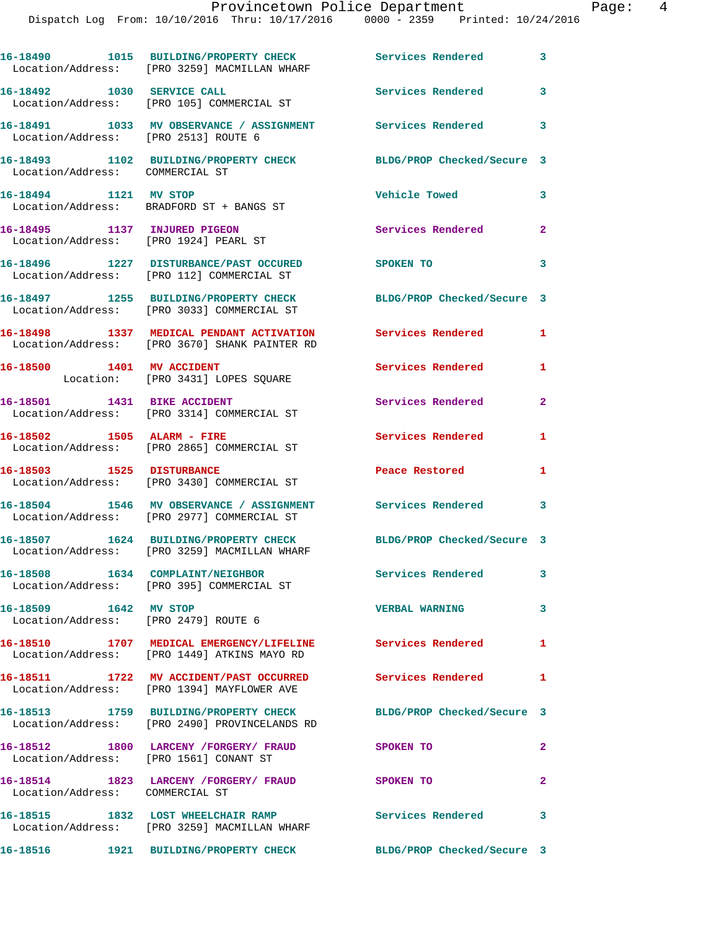|                                        | 16-18490 1015 BUILDING/PROPERTY CHECK<br>Location/Address: [PRO 3259] MACMILLAN WHARF                     | <b>Services Rendered</b>   | $\mathbf{3}$               |
|----------------------------------------|-----------------------------------------------------------------------------------------------------------|----------------------------|----------------------------|
| 16-18492 1030 SERVICE CALL             | Location/Address: [PRO 105] COMMERCIAL ST                                                                 | Services Rendered 3        |                            |
|                                        | 16-18491 1033 MV OBSERVANCE / ASSIGNMENT Services Rendered 3<br>Location/Address: [PRO 2513] ROUTE 6      |                            |                            |
| Location/Address: COMMERCIAL ST        | 16-18493 1102 BUILDING/PROPERTY CHECK BLDG/PROP Checked/Secure 3                                          |                            |                            |
| 16-18494 1121 MV STOP                  | Location/Address: BRADFORD ST + BANGS ST                                                                  | <b>Vehicle Towed</b>       | 3                          |
| 16-18495 1137 INJURED PIGEON           | Location/Address: [PRO 1924] PEARL ST                                                                     | Services Rendered          | $\mathbf{2}$               |
|                                        | 16-18496 1227 DISTURBANCE/PAST OCCURED<br>Location/Address: [PRO 112] COMMERCIAL ST                       | <b>SPOKEN TO</b>           | $\overline{\mathbf{3}}$    |
|                                        | 16-18497 1255 BUILDING/PROPERTY CHECK<br>Location/Address: [PRO 3033] COMMERCIAL ST                       | BLDG/PROP Checked/Secure 3 |                            |
|                                        | 16-18498 1337 MEDICAL PENDANT ACTIVATION<br>Location/Address: [PRO 3670] SHANK PAINTER RD                 | <b>Services Rendered</b> 1 |                            |
|                                        | 16-18500 1401 MV ACCIDENT<br>Location: [PRO 3431] LOPES SQUARE                                            | Services Rendered          | 1                          |
| 16-18501 1431 BIKE ACCIDENT            | Location/Address: [PRO 3314] COMMERCIAL ST                                                                | Services Rendered          | $\mathbf{2}$               |
| 16-18502 1505 ALARM - FIRE             | Location/Address: [PRO 2865] COMMERCIAL ST                                                                | Services Rendered          | 1                          |
| 16-18503 1525 DISTURBANCE              | Location/Address: [PRO 3430] COMMERCIAL ST                                                                | Peace Restored             | 1                          |
|                                        | 16-18504 1546 MV OBSERVANCE / ASSIGNMENT<br>Location/Address: [PRO 2977] COMMERCIAL ST                    | Services Rendered          | $\overline{\phantom{a}}$ 3 |
|                                        | 16-18507 1624 BUILDING/PROPERTY CHECK<br>Location/Address: [PRO 3259] MACMILLAN WHARF                     | BLDG/PROP Checked/Secure 3 |                            |
|                                        | 16-18508 1634 COMPLAINT/NEIGHBOR<br>Location/Address: [PRO 395] COMMERCIAL ST                             | Services Rendered          | 3                          |
| 16-18509 1642 MV STOP                  | Location/Address: [PRO 2479] ROUTE 6                                                                      | <b>VERBAL WARNING</b>      | $\mathbf{3}$               |
|                                        | 16-18510 1707 MEDICAL EMERGENCY/LIFELINE Services Rendered<br>Location/Address: [PRO 1449] ATKINS MAYO RD |                            | 1                          |
|                                        | 16-18511 1722 MV ACCIDENT/PAST OCCURRED Services Rendered 1<br>Location/Address: [PRO 1394] MAYFLOWER AVE |                            |                            |
|                                        | 16-18513 1759 BUILDING/PROPERTY CHECK<br>Location/Address: [PRO 2490] PROVINCELANDS RD                    | BLDG/PROP Checked/Secure 3 |                            |
| Location/Address: [PRO 1561] CONANT ST | 16-18512 1800 LARCENY / FORGERY / FRAUD                                                                   | <b>SPOKEN TO</b>           | $\mathbf{2}$               |
| Location/Address: COMMERCIAL ST        | 16-18514 1823 LARCENY / FORGERY / FRAUD                                                                   | SPOKEN TO                  | $\mathbf{2}$               |
|                                        | 16-18515 1832 LOST WHEELCHAIR RAMP<br>Location/Address: [PRO 3259] MACMILLAN WHARF                        | Services Rendered          | $\overline{\phantom{a}}$ 3 |
| 16–18516                               | 1921 BUILDING/PROPERTY CHECK                                                                              | BLDG/PROP Checked/Secure 3 |                            |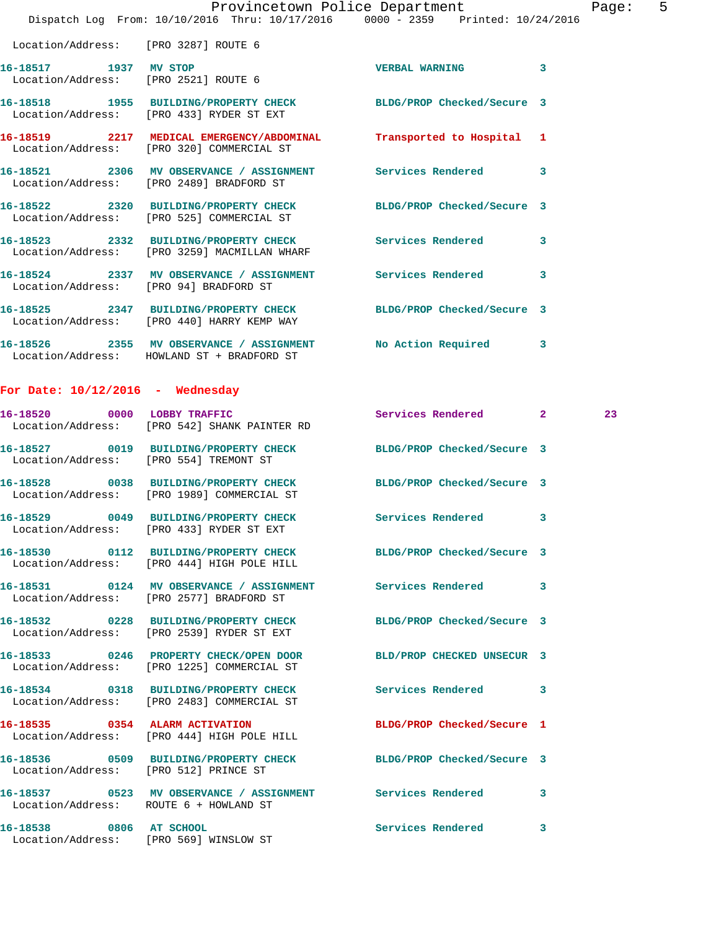|                                                               | Dispatch Log From: 10/10/2016 Thru: 10/17/2016 0000 - 2359 Printed: 10/24/2016                                 | Provincetown Police Department | 5<br>Page:              |
|---------------------------------------------------------------|----------------------------------------------------------------------------------------------------------------|--------------------------------|-------------------------|
| Location/Address: [PRO 3287] ROUTE 6                          |                                                                                                                |                                |                         |
| 16-18517 1937 MV STOP<br>Location/Address: [PRO 2521] ROUTE 6 |                                                                                                                | <b>VERBAL WARNING</b>          | 3                       |
|                                                               | 16-18518 1955 BUILDING/PROPERTY CHECK BLDG/PROP Checked/Secure 3<br>Location/Address: [PRO 433] RYDER ST EXT   |                                |                         |
|                                                               | Location/Address: [PRO 320] COMMERCIAL ST                                                                      |                                |                         |
|                                                               | 16-18521 2306 MV OBSERVANCE / ASSIGNMENT Services Rendered 3<br>Location/Address: [PRO 2489] BRADFORD ST       |                                |                         |
|                                                               | 16-18522 2320 BUILDING/PROPERTY CHECK BLDG/PROP Checked/Secure 3<br>Location/Address: [PRO 525] COMMERCIAL ST  |                                |                         |
|                                                               | 16-18523 2332 BUILDING/PROPERTY CHECK Services Rendered<br>Location/Address: [PRO 3259] MACMILLAN WHARF        |                                | $\overline{\mathbf{3}}$ |
| Location/Address: [PRO 94] BRADFORD ST                        | 16-18524 2337 MV OBSERVANCE / ASSIGNMENT Services Rendered                                                     |                                | 3                       |
|                                                               | 16-18525 2347 BUILDING/PROPERTY CHECK BLDG/PROP Checked/Secure 3<br>Location/Address: [PRO 440] HARRY KEMP WAY |                                |                         |
|                                                               | 16-18526 2355 MV OBSERVANCE / ASSIGNMENT No Action Required<br>Location/Address: HOWLAND ST + BRADFORD ST      |                                | $\overline{\mathbf{3}}$ |

## **For Date: 10/12/2016 - Wednesday**

|                                                                   | 16-18520 0000 LOBBY TRAFFIC<br>Location/Address: [PRO 542] SHANK PAINTER RD                                     | Services Rendered 2        |                         | 23 <sub>o</sub> |
|-------------------------------------------------------------------|-----------------------------------------------------------------------------------------------------------------|----------------------------|-------------------------|-----------------|
|                                                                   | 16-18527 0019 BUILDING/PROPERTY CHECK BLDG/PROP Checked/Secure 3<br>Location/Address: [PRO 554] TREMONT ST      |                            |                         |                 |
|                                                                   | 16-18528 0038 BUILDING/PROPERTY CHECK BLDG/PROP Checked/Secure 3<br>Location/Address: [PRO 1989] COMMERCIAL ST  |                            |                         |                 |
|                                                                   | 16-18529 0049 BUILDING/PROPERTY CHECK Services Rendered 3<br>Location/Address: [PRO 433] RYDER ST EXT           |                            |                         |                 |
|                                                                   | 16-18530 0112 BUILDING/PROPERTY CHECK BLDG/PROP Checked/Secure 3<br>Location/Address: [PRO 444] HIGH POLE HILL  |                            |                         |                 |
|                                                                   | 16-18531 0124 MV OBSERVANCE / ASSIGNMENT Services Rendered 3<br>Location/Address: [PRO 2577] BRADFORD ST        |                            |                         |                 |
|                                                                   | 16-18532 0228 BUILDING/PROPERTY CHECK BLDG/PROP Checked/Secure 3<br>Location/Address: [PRO 2539] RYDER ST EXT   |                            |                         |                 |
|                                                                   | 16-18533 0246 PROPERTY CHECK/OPEN DOOR BLD/PROP CHECKED UNSECUR 3<br>Location/Address: [PRO 1225] COMMERCIAL ST |                            |                         |                 |
|                                                                   | 16-18534 0318 BUILDING/PROPERTY CHECK Services Rendered 3<br>Location/Address: [PRO 2483] COMMERCIAL ST         |                            |                         |                 |
|                                                                   | 16-18535 0354 ALARM ACTIVATION<br>Location/Address: [PRO 444] HIGH POLE HILL                                    | BLDG/PROP Checked/Secure 1 |                         |                 |
| Location/Address: [PRO 512] PRINCE ST                             | 16-18536 0509 BUILDING/PROPERTY CHECK BLDG/PROP Checked/Secure 3                                                |                            |                         |                 |
|                                                                   | 16-18537  0523 MV OBSERVANCE / ASSIGNMENT  Services Rendered<br>Location/Address: ROUTE 6 + HOWLAND ST          |                            | 3                       |                 |
| 16-18538 0806 AT SCHOOL<br>Location/Address: [PRO 569] WINSLOW ST |                                                                                                                 | <b>Services Rendered</b>   | $\overline{\mathbf{3}}$ |                 |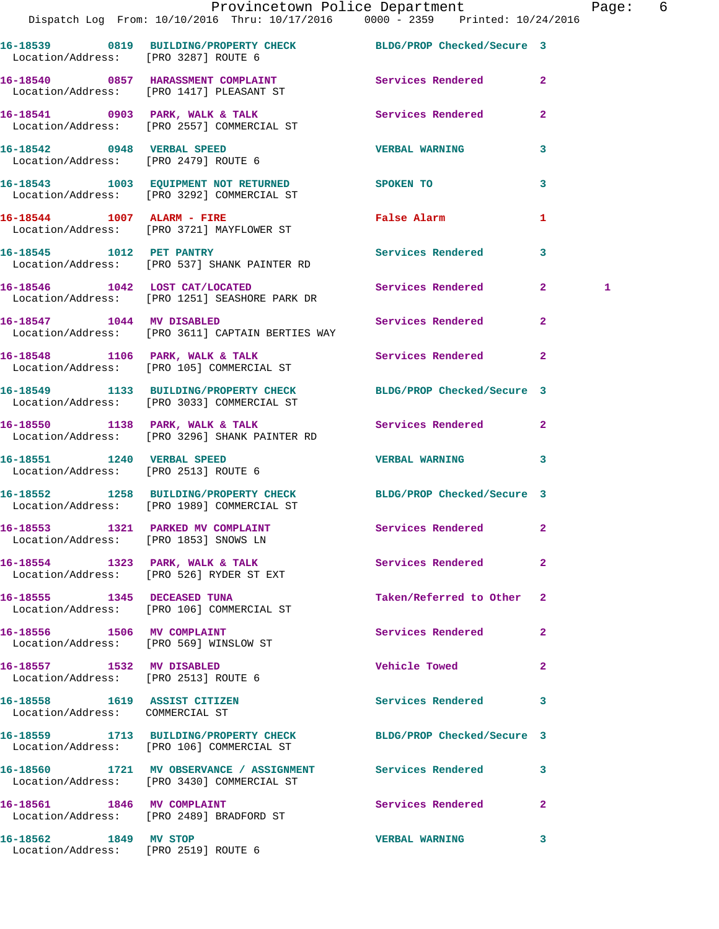|                                                                            | Provincetown Police Department Page: 6<br>Dispatch Log From: 10/10/2016 Thru: 10/17/2016 0000 - 2359 Printed: 10/24/2016 |                            |                |   |  |
|----------------------------------------------------------------------------|--------------------------------------------------------------------------------------------------------------------------|----------------------------|----------------|---|--|
| Location/Address: [PRO 3287] ROUTE 6                                       | 16-18539 0819 BUILDING/PROPERTY CHECK BLDG/PROP Checked/Secure 3                                                         |                            |                |   |  |
|                                                                            | 16-18540 0857 HARASSMENT COMPLAINT Services Rendered 2<br>Location/Address: [PRO 1417] PLEASANT ST                       |                            |                |   |  |
|                                                                            | 16-18541 0903 PARK, WALK & TALK 3 Services Rendered<br>Location/Address: [PRO 2557] COMMERCIAL ST                        |                            | $\overline{2}$ |   |  |
|                                                                            | 16-18542 0948 VERBAL SPEED<br>Location/Address: [PRO 2479] ROUTE 6                                                       | <b>VERBAL WARNING</b>      | 3              |   |  |
|                                                                            | 16-18543 1003 EQUIPMENT NOT RETURNED SPOKEN TO<br>Location/Address: [PRO 3292] COMMERCIAL ST                             |                            | 3              |   |  |
|                                                                            | 16-18544 1007 ALARM - FIRE<br>Location/Address: [PRO 3721] MAYFLOWER ST                                                  | False Alarm                | 1              |   |  |
|                                                                            | 16-18545 1012 PET PANTRY<br>Location/Address: [PRO 537] SHANK PAINTER RD                                                 | Services Rendered 3        |                |   |  |
|                                                                            | 16-18546 1042 LOST CAT/LOCATED<br>Location/Address: [PRO 1251] SEASHORE PARK DR                                          | Services Rendered 2        |                | 1 |  |
|                                                                            | 16-18547 1044 MV DISABLED<br>Location/Address: [PRO 3611] CAPTAIN BERTIES WAY                                            | Services Rendered 2        |                |   |  |
|                                                                            | 16-18548 1106 PARK, WALK & TALK 1998 Services Rendered<br>Location/Address: [PRO 105] COMMERCIAL ST                      |                            | $\mathbf{2}$   |   |  |
|                                                                            | 16-18549 1133 BUILDING/PROPERTY CHECK BLDG/PROP Checked/Secure 3<br>Location/Address: [PRO 3033] COMMERCIAL ST           |                            |                |   |  |
|                                                                            | 16-18550 1138 PARK, WALK & TALK 6 Services Rendered 2<br>Location/Address: [PRO 3296] SHANK PAINTER RD                   |                            |                |   |  |
| 16-18551 1240 VERBAL SPEED                                                 | Location/Address: [PRO 2513] ROUTE 6                                                                                     | <b>VERBAL WARNING 3</b>    |                |   |  |
|                                                                            | 16-18552 1258 BUILDING/PROPERTY CHECK BLDG/PROP Checked/Secure 3<br>Location/Address: [PRO 1989] COMMERCIAL ST           |                            |                |   |  |
| 16-18553 1321 PARKED MV COMPLAINT<br>Location/Address: [PRO 1853] SNOWS LN |                                                                                                                          | Services Rendered 2        |                |   |  |
|                                                                            | 16-18554 1323 PARK, WALK & TALK<br>Location/Address: [PRO 526] RYDER ST EXT                                              | Services Rendered 2        |                |   |  |
|                                                                            | 16-18555 1345 DECEASED TUNA<br>Location/Address: [PRO 106] COMMERCIAL ST                                                 | Taken/Referred to Other 2  |                |   |  |
| Location/Address: [PRO 569] WINSLOW ST                                     | 16-18556 1506 MV COMPLAINT                                                                                               | Services Rendered          | $\mathbf{2}$   |   |  |
| 16-18557 1532 MV DISABLED<br>Location/Address: [PRO 2513] ROUTE 6          |                                                                                                                          | <b>Vehicle Towed State</b> | $\mathbf{2}$   |   |  |
| 16-18558 1619 ASSIST CITIZEN<br>Location/Address: COMMERCIAL ST            |                                                                                                                          | Services Rendered 3        |                |   |  |
|                                                                            | 16-18559 1713 BUILDING/PROPERTY CHECK BLDG/PROP Checked/Secure 3<br>Location/Address: [PRO 106] COMMERCIAL ST            |                            |                |   |  |
|                                                                            | 16-18560 1721 MV OBSERVANCE / ASSIGNMENT Services Rendered 3<br>Location/Address: [PRO 3430] COMMERCIAL ST               |                            |                |   |  |
| 16-18561 1846 MV COMPLAINT                                                 | Location/Address: [PRO 2489] BRADFORD ST                                                                                 | Services Rendered 2        |                |   |  |
| 16-18562 1849 MV STOP                                                      |                                                                                                                          | <b>VERBAL WARNING</b>      | 3              |   |  |

Location/Address: [PRO 2519] ROUTE 6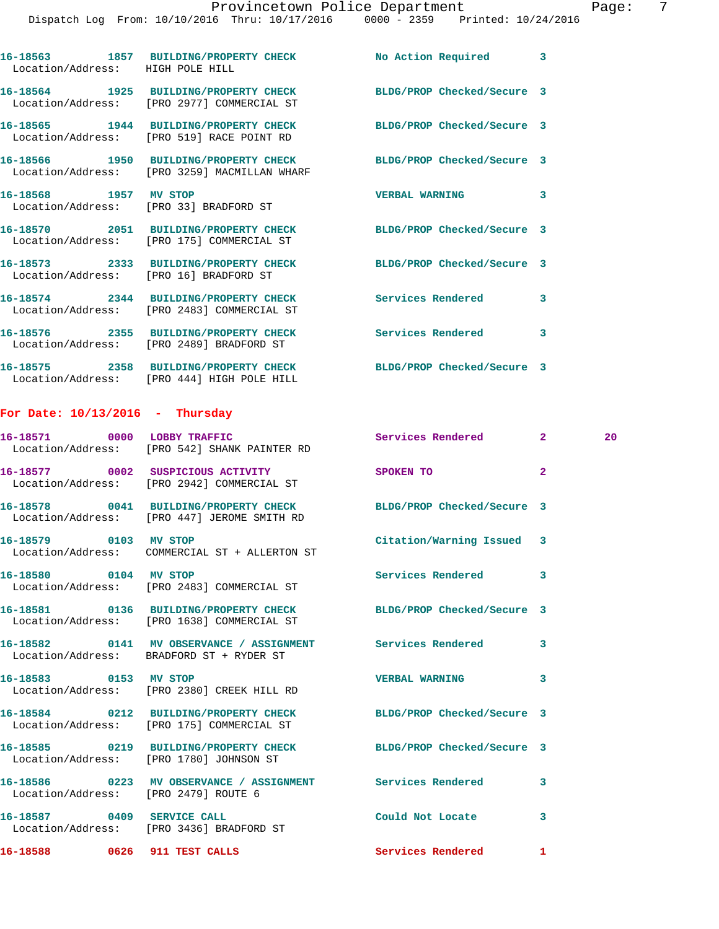| Location/Address: HIGH POLE HILL                                | 16-18563 1857 BUILDING/PROPERTY CHECK                                                                            | <b>No Action Required</b>  | $\overline{\mathbf{3}}$ |
|-----------------------------------------------------------------|------------------------------------------------------------------------------------------------------------------|----------------------------|-------------------------|
|                                                                 | 16-18564 1925 BUILDING/PROPERTY CHECK BLDG/PROP Checked/Secure 3<br>Location/Address: [PRO 2977] COMMERCIAL ST   |                            |                         |
|                                                                 | 16-18565 1944 BUILDING/PROPERTY CHECK<br>Location/Address: [PRO 519] RACE POINT RD                               | BLDG/PROP Checked/Secure 3 |                         |
|                                                                 | 16-18566 1950 BUILDING/PROPERTY CHECK BLDG/PROP Checked/Secure 3<br>Location/Address: [PRO 3259] MACMILLAN WHARF |                            |                         |
| 16-18568 1957 MV STOP<br>Location/Address: [PRO 33] BRADFORD ST |                                                                                                                  | <b>VERBAL WARNING</b>      | $\overline{\mathbf{3}}$ |
|                                                                 | 16-18570 2051 BUILDING/PROPERTY CHECK BLDG/PROP Checked/Secure 3<br>Location/Address: [PRO 175] COMMERCIAL ST    |                            |                         |
| Location/Address: [PRO 16] BRADFORD ST                          | 16-18573 2333 BUILDING/PROPERTY CHECK                                                                            | BLDG/PROP Checked/Secure 3 |                         |
|                                                                 | 16-18574 2344 BUILDING/PROPERTY CHECK<br>Location/Address: [PRO 2483] COMMERCIAL ST                              | <b>Services Rendered</b>   | $\overline{3}$          |
|                                                                 | 16-18576 2355 BUILDING/PROPERTY CHECK<br>Location/Address: [PRO 2489] BRADFORD ST                                | <b>Services Rendered</b>   | $\overline{\mathbf{3}}$ |
|                                                                 | 16-18575 2358 BUILDING/PROPERTY CHECK                                                                            | BLDG/PROP Checked/Secure 3 |                         |

Location/Address: [PRO 444] HIGH POLE HILL

#### **For Date: 10/13/2016 - Thursday**

|                                      | 16-18571 0000 LOBBY TRAFFIC<br>Location/Address: [PRO 542] SHANK PAINTER RD                            | Services Rendered          | $\overline{2}$          | 20 |
|--------------------------------------|--------------------------------------------------------------------------------------------------------|----------------------------|-------------------------|----|
|                                      | 16-18577  0002 SUSPICIOUS ACTIVITY<br>Location/Address: [PRO 2942] COMMERCIAL ST                       | SPOKEN TO                  | $\overline{2}$          |    |
|                                      | 16-18578 0041 BUILDING/PROPERTY CHECK<br>Location/Address: [PRO 447] JEROME SMITH RD                   | BLDG/PROP Checked/Secure 3 |                         |    |
| 16-18579 0103 MV STOP                | Location/Address: COMMERCIAL ST + ALLERTON ST                                                          | Citation/Warning Issued 3  |                         |    |
| 16-18580 0104 MV STOP                | Location/Address: [PRO 2483] COMMERCIAL ST                                                             | Services Rendered          | $\overline{\mathbf{3}}$ |    |
|                                      | 16-18581 0136 BUILDING/PROPERTY CHECK<br>Location/Address: [PRO 1638] COMMERCIAL ST                    | BLDG/PROP Checked/Secure 3 |                         |    |
|                                      | 16-18582 0141 MV OBSERVANCE / ASSIGNMENT Services Rendered<br>Location/Address: BRADFORD ST + RYDER ST |                            | 3                       |    |
| 16-18583 0153 MV STOP                | Location/Address: [PRO 2380] CREEK HILL RD                                                             | <b>VERBAL WARNING</b>      | 3                       |    |
|                                      | 16-18584 0212 BUILDING/PROPERTY CHECK<br>Location/Address: [PRO 175] COMMERCIAL ST                     | BLDG/PROP Checked/Secure 3 |                         |    |
|                                      | 16-18585 0219 BUILDING/PROPERTY CHECK<br>Location/Address: [PRO 1780] JOHNSON ST                       | BLDG/PROP Checked/Secure 3 |                         |    |
| Location/Address: [PRO 2479] ROUTE 6 | 16-18586 0223 MV OBSERVANCE / ASSIGNMENT Services Rendered                                             |                            | $\mathbf{3}$            |    |
|                                      | 16-18587 0409 SERVICE CALL<br>Location/Address: [PRO 3436] BRADFORD ST                                 | Could Not Locate           | 3                       |    |
| 16-18588 0626 911 TEST CALLS         |                                                                                                        | Services Rendered          | 1                       |    |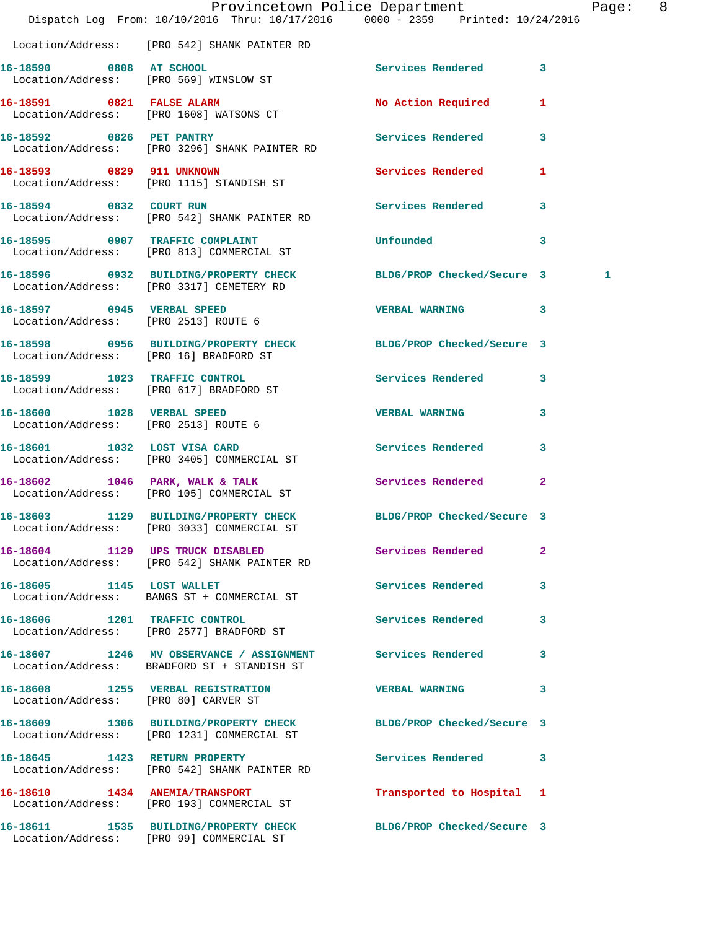|                                        | Dispatch Log From: 10/10/2016 Thru: 10/17/2016 0000 - 2359 Printed: 10/24/2016                                 | Provincetown Police Department | Page: 8      |  |
|----------------------------------------|----------------------------------------------------------------------------------------------------------------|--------------------------------|--------------|--|
|                                        | Location/Address: [PRO 542] SHANK PAINTER RD                                                                   |                                |              |  |
| 16-18590 0808 AT SCHOOL                | Location/Address: [PRO 569] WINSLOW ST                                                                         | Services Rendered 3            |              |  |
|                                        | 16-18591 0821 FALSE ALARM<br>Location/Address: [PRO 1608] WATSONS CT                                           | No Action Required 1           |              |  |
|                                        | 16-18592 0826 PET PANTRY<br>Location/Address: [PRO 3296] SHANK PAINTER RD                                      | Services Rendered 3            |              |  |
|                                        | 16-18593 0829 911 UNKNOWN<br>Location/Address: [PRO 1115] STANDISH ST                                          | Services Rendered              | $\mathbf{1}$ |  |
|                                        | 16-18594 0832 COURT RUN<br>Location/Address: [PRO 542] SHANK PAINTER RD                                        | Services Rendered 3            |              |  |
|                                        | 16-18595 0907 TRAFFIC COMPLAINT<br>Location/Address: [PRO 813] COMMERCIAL ST                                   | Unfounded                      | 3            |  |
|                                        | 16-18596 0932 BUILDING/PROPERTY CHECK BLDG/PROP Checked/Secure 3<br>Location/Address: [PRO 3317] CEMETERY RD   |                                | 1            |  |
|                                        | 16-18597 0945 VERBAL SPEED<br>Location/Address: [PRO 2513] ROUTE 6                                             | VERBAL WARNING 3               |              |  |
| Location/Address: [PRO 16] BRADFORD ST | 16-18598 0956 BUILDING/PROPERTY CHECK BLDG/PROP Checked/Secure 3                                               |                                |              |  |
|                                        | 16-18599 1023 TRAFFIC CONTROL<br>Location/Address: [PRO 617] BRADFORD ST                                       | Services Rendered 3            |              |  |
| Location/Address: [PRO 2513] ROUTE 6   | 16-18600 1028 VERBAL SPEED                                                                                     | <b>VERBAL WARNING</b>          | 3            |  |
|                                        | 16-18601 1032 LOST VISA CARD<br>Location/Address: [PRO 3405] COMMERCIAL ST                                     | Services Rendered 3            |              |  |
|                                        | 16-18602 1046 PARK, WALK & TALK<br>Location/Address: [PRO 105] COMMERCIAL ST                                   | Services Rendered              | $\mathbf{2}$ |  |
|                                        | 16-18603 1129 BUILDING/PROPERTY CHECK<br>Location/Address: [PRO 3033] COMMERCIAL ST                            | BLDG/PROP Checked/Secure 3     |              |  |
|                                        | 16-18604 1129 UPS TRUCK DISABLED Services Rendered Location/Address: [PRO 542] SHANK PAINTER RD                |                                | $\mathbf{2}$ |  |
|                                        | 16-18605 1145 LOST WALLET<br>Location/Address: BANGS ST + COMMERCIAL ST                                        | Services Rendered              | 3            |  |
|                                        | 16-18606 1201 TRAFFIC CONTROL<br>Location/Address: [PRO 2577] BRADFORD ST                                      | Services Rendered              | 3            |  |
|                                        | 16-18607 1246 MV OBSERVANCE / ASSIGNMENT Services Rendered 3<br>Location/Address: BRADFORD ST + STANDISH ST    |                                |              |  |
| Location/Address: [PRO 80] CARVER ST   | 16-18608 1255 VERBAL REGISTRATION                                                                              | <b>VERBAL WARNING</b>          | 3            |  |
|                                        | 16-18609 1306 BUILDING/PROPERTY CHECK BLDG/PROP Checked/Secure 3<br>Location/Address: [PRO 1231] COMMERCIAL ST |                                |              |  |
|                                        | 16-18645 1423 RETURN PROPERTY<br>Location/Address: [PRO 542] SHANK PAINTER RD                                  | Services Rendered 3            |              |  |
| 16-18610 1434 ANEMIA/TRANSPORT         | Location/Address: [PRO 193] COMMERCIAL ST                                                                      | Transported to Hospital 1      |              |  |
|                                        | 16-18611 1535 BUILDING/PROPERTY CHECK<br>Location/Address: [PRO 99] COMMERCIAL ST                              | BLDG/PROP Checked/Secure 3     |              |  |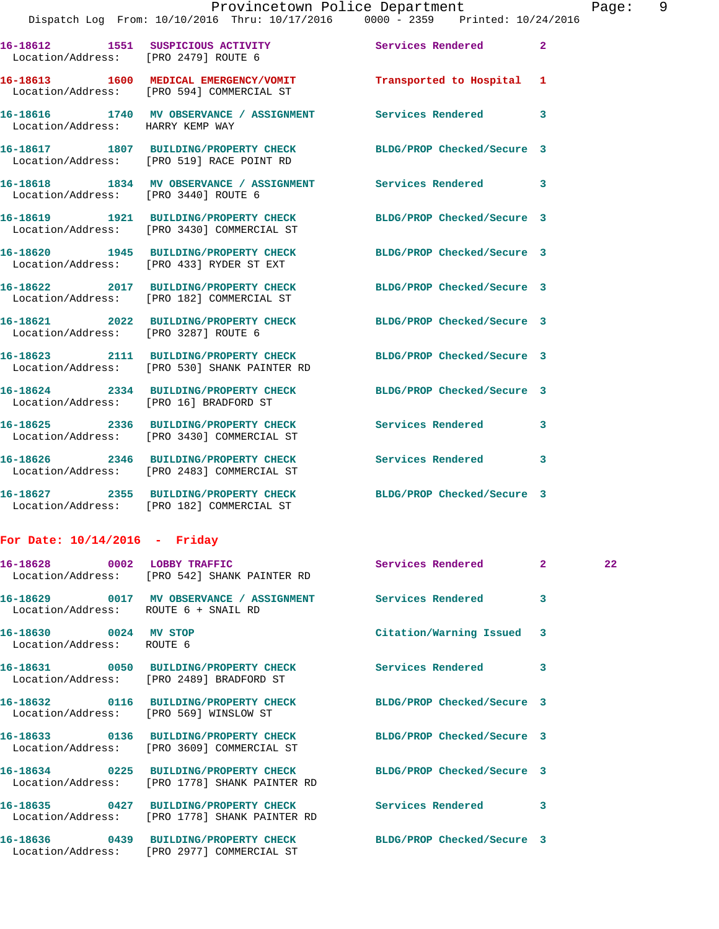| Location/Address: [PRO 2479] ROUTE 6   | 16-18612 1551 SUSPICIOUS ACTIVITY                                                     | <b>Services Rendered</b>   | $\overline{2}$          |
|----------------------------------------|---------------------------------------------------------------------------------------|----------------------------|-------------------------|
|                                        | 16-18613 1600 MEDICAL EMERGENCY/VOMIT<br>Location/Address: [PRO 594] COMMERCIAL ST    | Transported to Hospital    | $\mathbf{1}$            |
| Location/Address: HARRY KEMP WAY       |                                                                                       |                            | $\mathbf{3}$            |
|                                        | 16-18617 1807 BUILDING/PROPERTY CHECK<br>Location/Address: [PRO 519] RACE POINT RD    | BLDG/PROP Checked/Secure 3 |                         |
| Location/Address: [PRO 3440] ROUTE 6   | 16-18618 1834 MV OBSERVANCE / ASSIGNMENT                                              | <b>Services Rendered</b>   | 3                       |
|                                        | 16-18619 1921 BUILDING/PROPERTY CHECK<br>Location/Address: [PRO 3430] COMMERCIAL ST   | BLDG/PROP Checked/Secure 3 |                         |
|                                        | 16-18620 1945 BUILDING/PROPERTY CHECK<br>Location/Address: [PRO 433] RYDER ST EXT     | BLDG/PROP Checked/Secure 3 |                         |
|                                        | 16-18622 2017 BUILDING/PROPERTY CHECK<br>Location/Address: [PRO 182] COMMERCIAL ST    | BLDG/PROP Checked/Secure 3 |                         |
| Location/Address: [PRO 3287] ROUTE 6   | 16-18621 2022 BUILDING/PROPERTY CHECK                                                 | BLDG/PROP Checked/Secure 3 |                         |
|                                        | 16-18623 2111 BUILDING/PROPERTY CHECK<br>Location/Address: [PRO 530] SHANK PAINTER RD | BLDG/PROP Checked/Secure 3 |                         |
| Location/Address: [PRO 16] BRADFORD ST | 16-18624 2334 BUILDING/PROPERTY CHECK                                                 | BLDG/PROP Checked/Secure 3 |                         |
|                                        | 16-18625 2336 BUILDING/PROPERTY CHECK<br>Location/Address: [PRO 3430] COMMERCIAL ST   | <b>Services Rendered</b>   | $\overline{\mathbf{3}}$ |
|                                        | 16-18626 2346 BUILDING/PROPERTY CHECK<br>Location/Address: [PRO 2483] COMMERCIAL ST   | <b>Services Rendered</b>   | 3                       |
|                                        | 16-18627 2355 BUILDING/PROPERTY CHECK                                                 | BLDG/PROP Checked/Secure 3 |                         |

#### **For Date: 10/14/2016 - Friday**

Location/Address: [PRO 182] COMMERCIAL ST

|                                                    | 16-18628 0002 LOBBY TRAFFIC<br>Location/Address: [PRO 542] SHANK PAINTER RD                                                 | Services Rendered 2       |                         | 22 <sub>2</sub> |
|----------------------------------------------------|-----------------------------------------------------------------------------------------------------------------------------|---------------------------|-------------------------|-----------------|
| Location/Address: ROUTE 6 + SNAIL RD               | 16-18629 0017 MV OBSERVANCE / ASSIGNMENT Services Rendered 3                                                                |                           |                         |                 |
| 16-18630 0024 MV STOP<br>Location/Address: ROUTE 6 |                                                                                                                             | Citation/Warning Issued 3 |                         |                 |
|                                                    | 16-18631 0050 BUILDING/PROPERTY CHECK Services Rendered<br>Location/Address: [PRO 2489] BRADFORD ST                         |                           | $\overline{\mathbf{3}}$ |                 |
| Location/Address: [PRO 569] WINSLOW ST             | 16-18632  0116 BUILDING/PROPERTY CHECK BLDG/PROP Checked/Secure 3                                                           |                           |                         |                 |
|                                                    | 16-18633 0136 BUILDING/PROPERTY CHECK BLDG/PROP Checked/Secure 3<br>Location/Address: [PRO 3609] COMMERCIAL ST              |                           |                         |                 |
|                                                    | 16-18634 0225 BUILDING/PROPERTY CHECK BLDG/PROP Checked/Secure 3<br>Location/Address: [PRO 1778] SHANK PAINTER RD           |                           |                         |                 |
|                                                    | 16-18635 0427 BUILDING/PROPERTY CHECK Services Rendered<br>Location/Address: [PRO 1778] SHANK PAINTER RD                    |                           | $\overline{\mathbf{3}}$ |                 |
|                                                    | 16-18636      0439  BUILDING/PROPERTY CHECK        BLDG/PROP Checked/Secure 3<br>Location/Address: [PRO 2977] COMMERCIAL ST |                           |                         |                 |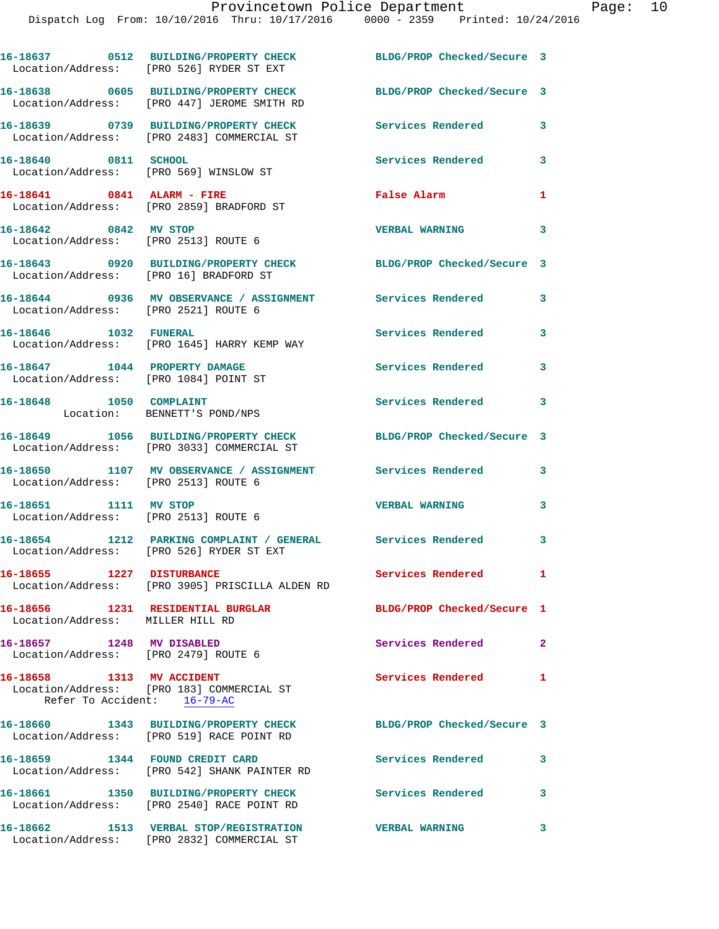Dispatch Log From: 10/10/2016 Thru: 10/17/2016 0000 - 2359 Printed: 10/24/2016

**16-18637 0512 BUILDING/PROPERTY CHECK BLDG/PROP Checked/Secure 3**  Location/Address: [PRO 526] RYDER ST EXT **16-18638 0605 BUILDING/PROPERTY CHECK BLDG/PROP Checked/Secure 3**  Location/Address: [PRO 447] JEROME SMITH RD **16-18639 0739 BUILDING/PROPERTY CHECK Services Rendered 3**  Location/Address: [PRO 2483] COMMERCIAL ST **16-18640 0811 SCHOOL Services Rendered 3**  Location/Address: [PRO 569] WINSLOW ST **16-18641 0841 ALARM - FIRE False Alarm 1**  Location/Address: [PRO 2859] BRADFORD ST **16-18642 0842 MV STOP VERBAL WARNING 3**  Location/Address: [PRO 2513] ROUTE 6 **16-18643 0920 BUILDING/PROPERTY CHECK BLDG/PROP Checked/Secure 3**  Location/Address: [PRO 16] BRADFORD ST **16-18644 0936 MV OBSERVANCE / ASSIGNMENT Services Rendered 3**  Location/Address: [PRO 2521] ROUTE 6 **16-18646 1032 FUNERAL Services Rendered 3**  Location/Address: [PRO 1645] HARRY KEMP WAY **16-18647 1044 PROPERTY DAMAGE Services Rendered 3**  Location/Address: [PRO 1084] POINT ST **16-18648 1050 COMPLAINT Services Rendered 3**  Location: BENNETT'S POND/NPS **16-18649 1056 BUILDING/PROPERTY CHECK BLDG/PROP Checked/Secure 3**  Location/Address: [PRO 3033] COMMERCIAL ST **16-18650 1107 MV OBSERVANCE / ASSIGNMENT Services Rendered 3**  Location/Address: [PRO 2513] ROUTE 6 **16-18651 1111 MV STOP VERBAL WARNING 3**  Location/Address: [PRO 2513] ROUTE 6 **16-18654 1212 PARKING COMPLAINT / GENERAL Services Rendered 3**  Location/Address: [PRO 526] RYDER ST EXT **16-18655 1227 DISTURBANCE Services Rendered 1**  Location/Address: [PRO 3905] PRISCILLA ALDEN RD **16-18656 1231 RESIDENTIAL BURGLAR BLDG/PROP Checked/Secure 1**  Location/Address: MILLER HILL RD **16-18657 1248 MV DISABLED Services Rendered 2**  Location/Address: [PRO 2479] ROUTE 6 **16-18658 1313 MV ACCIDENT Services Rendered 1**  Location/Address: [PRO 183] COMMERCIAL ST Refer To Accident: 16-79-AC **16-18660 1343 BUILDING/PROPERTY CHECK BLDG/PROP Checked/Secure 3**  Location/Address: [PRO 519] RACE POINT RD **16-18659 1344 FOUND CREDIT CARD Services Rendered 3**  Location/Address: [PRO 542] SHANK PAINTER RD **16-18661 1350 BUILDING/PROPERTY CHECK Services Rendered 3**  Location/Address: [PRO 2540] RACE POINT RD **16-18662 1513 VERBAL STOP/REGISTRATION VERBAL WARNING 3**  Location/Address: [PRO 2832] COMMERCIAL ST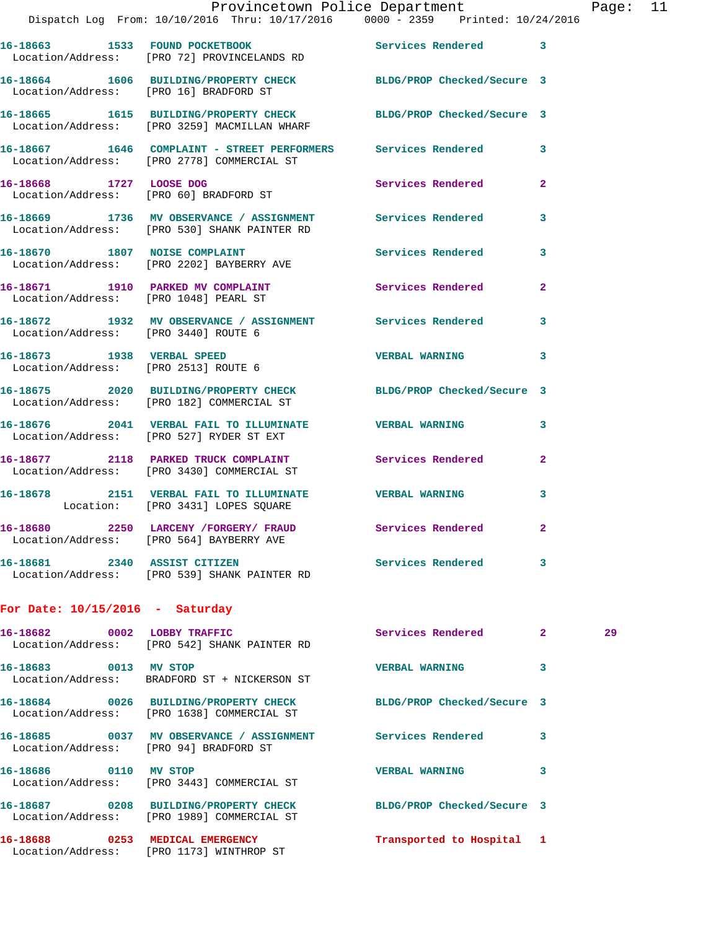|                                      | Provincetown Police Department                                                                                   |                            |                | Page |
|--------------------------------------|------------------------------------------------------------------------------------------------------------------|----------------------------|----------------|------|
|                                      | Dispatch Log From: 10/10/2016 Thru: 10/17/2016 0000 - 2359 Printed: 10/24/2016                                   |                            |                |      |
|                                      | 16-18663 1533 FOUND POCKETBOOK 1 Services Rendered 3<br>Location/Address: [PRO 72] PROVINCELANDS RD              |                            |                |      |
|                                      | 16-18664 1606 BUILDING/PROPERTY CHECK BLDG/PROP Checked/Secure 3<br>Location/Address: [PRO 16] BRADFORD ST       |                            |                |      |
|                                      | 16-18665 1615 BUILDING/PROPERTY CHECK BLDG/PROP Checked/Secure 3<br>Location/Address: [PRO 3259] MACMILLAN WHARF |                            |                |      |
|                                      | 16-18667 1646 COMPLAINT - STREET PERFORMERS Services Rendered<br>Location/Address: [PRO 2778] COMMERCIAL ST      |                            | 3              |      |
| 16-18668 1727 LOOSE DOG              | Location/Address: [PRO 60] BRADFORD ST                                                                           | Services Rendered          | $\overline{a}$ |      |
|                                      | 16-18669 1736 MV OBSERVANCE / ASSIGNMENT Services Rendered<br>Location/Address: [PRO 530] SHANK PAINTER RD       |                            | 3              |      |
|                                      | 16-18670 1807 NOISE COMPLAINT<br>Location/Address: [PRO 2202] BAYBERRY AVE                                       | Services Rendered          | 3              |      |
|                                      | 16-18671 1910 PARKED MV COMPLAINT Services Rendered Location/Address: [PRO 1048] PEARL ST                        |                            | $\mathbf{2}$   |      |
| Location/Address: [PRO 3440] ROUTE 6 | 16-18672 1932 MV OBSERVANCE / ASSIGNMENT Services Rendered                                                       |                            | 3              |      |
|                                      | 16-18673 1938 VERBAL SPEED<br>Location/Address: [PRO 2513] ROUTE 6                                               | <b>VERBAL WARNING</b>      | 3              |      |
|                                      | 16-18675 2020 BUILDING/PROPERTY CHECK BLDG/PROP Checked/Secure 3<br>Location/Address: [PRO 182] COMMERCIAL ST    |                            |                |      |
|                                      | 16-18676  2041  VERBAL FAIL TO ILLUMINATE  VERBAL WARNING<br>Location/Address: [PRO 527] RYDER ST EXT            |                            | 3              |      |
|                                      | 16-18677 2118 PARKED TRUCK COMPLAINT Services Rendered<br>Location/Address: [PRO 3430] COMMERCIAL ST             |                            | $\overline{a}$ |      |
|                                      | 16-18678 2151 VERBAL FAIL TO ILLUMINATE  VERBAL WARNING<br>Location: [PRO 3431] LOPES SQUARE                     |                            | 3              |      |
|                                      | 16-18680 2250 LARCENY / FORGERY / FRAUD<br>Location/Address: [PRO 564] BAYBERRY AVE                              | <b>Services Rendered</b>   | 2              |      |
| 16-18681 2340 ASSIST CITIZEN         | Location/Address: [PRO 539] SHANK PAINTER RD                                                                     | <b>Services Rendered</b>   | 3              |      |
| For Date: $10/15/2016$ - Saturday    |                                                                                                                  |                            |                |      |
| 16-18682 0002 LOBBY TRAFFIC          | Location/Address: [PRO 542] SHANK PAINTER RD                                                                     | <b>Services Rendered</b>   | 2              | 29   |
| 16-18683 0013 MV STOP                | Location/Address: BRADFORD ST + NICKERSON ST                                                                     | <b>VERBAL WARNING</b>      | 3              |      |
|                                      | 16-18684 0026 BUILDING/PROPERTY CHECK                                                                            | BLDG/PROP Checked/Secure 3 |                |      |

**16-18685 0037 MV OBSERVANCE / ASSIGNMENT Services Rendered 3**  Location/Address: [PRO 94] BRADFORD ST **16-18686 0110 MV STOP VERBAL WARNING 3**  Location/Address: [PRO 3443] COMMERCIAL ST **16-18687 0208 BUILDING/PROPERTY CHECK BLDG/PROP Checked/Secure 3**  Location/Address: [PRO 1989] COMMERCIAL ST

**16-18688 0253 MEDICAL EMERGENCY Transported to Hospital 1**  Location/Address: [PRO 1173] WINTHROP ST

Location/Address: [PRO 1638] COMMERCIAL ST

Page: 11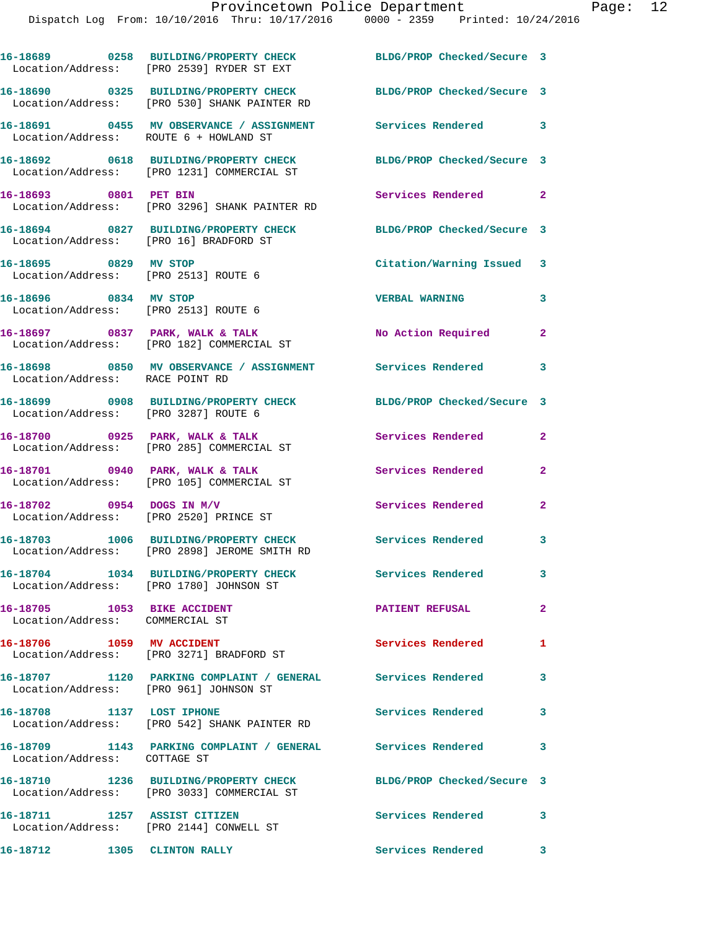|                                                                | 16-18689 0258 BUILDING/PROPERTY CHECK<br>Location/Address: [PRO 2539] RYDER ST EXT    | BLDG/PROP Checked/Secure 3 |                         |
|----------------------------------------------------------------|---------------------------------------------------------------------------------------|----------------------------|-------------------------|
|                                                                | 16-18690 0325 BUILDING/PROPERTY CHECK<br>Location/Address: [PRO 530] SHANK PAINTER RD | BLDG/PROP Checked/Secure 3 |                         |
| Location/Address: ROUTE 6 + HOWLAND ST                         | 16-18691 0455 MV OBSERVANCE / ASSIGNMENT Services Rendered 3                          |                            |                         |
|                                                                | 16-18692 0618 BUILDING/PROPERTY CHECK<br>Location/Address: [PRO 1231] COMMERCIAL ST   | BLDG/PROP Checked/Secure 3 |                         |
| 16-18693 0801 PET BIN                                          | Location/Address: [PRO 3296] SHANK PAINTER RD                                         | Services Rendered 2        |                         |
| Location/Address: [PRO 16] BRADFORD ST                         | 16-18694 0827 BUILDING/PROPERTY CHECK                                                 | BLDG/PROP Checked/Secure 3 |                         |
| 16-18695 0829 MV STOP<br>Location/Address: [PRO 2513] ROUTE 6  |                                                                                       | Citation/Warning Issued 3  |                         |
| 16-18696 0834 MV STOP                                          | Location/Address: [PRO 2513] ROUTE 6                                                  | <b>VERBAL WARNING</b>      | 3                       |
|                                                                | 16-18697 0837 PARK, WALK & TALK<br>Location/Address: [PRO 182] COMMERCIAL ST          | No Action Required         | $\mathbf{2}$            |
| Location/Address: RACE POINT RD                                | 16-18698 0850 MV OBSERVANCE / ASSIGNMENT Services Rendered 3                          |                            |                         |
| Location/Address: [PRO 3287] ROUTE 6                           | 16-18699 0908 BUILDING/PROPERTY CHECK                                                 | BLDG/PROP Checked/Secure 3 |                         |
|                                                                | 16-18700 0925 PARK, WALK & TALK<br>Location/Address: [PRO 285] COMMERCIAL ST          | Services Rendered          | $\overline{2}$          |
|                                                                | 16-18701 0940 PARK, WALK & TALK<br>Location/Address: [PRO 105] COMMERCIAL ST          | Services Rendered          | $\mathbf{2}$            |
| $16 - 18702$ 0954 DOGS IN M/V                                  | Location/Address: [PRO 2520] PRINCE ST                                                | Services Rendered          | $\overline{2}$          |
|                                                                | 16-18703 1006 BUILDING/PROPERTY CHECK<br>Location/Address: [PRO 2898] JEROME SMITH RD | <b>Services Rendered</b>   | $\overline{\mathbf{3}}$ |
|                                                                | 16-18704 1034 BUILDING/PROPERTY CHECK<br>Location/Address: [PRO 1780] JOHNSON ST      | <b>Services Rendered</b>   |                         |
| 16-18705 1053 BIKE ACCIDENT<br>Location/Address: COMMERCIAL ST |                                                                                       | <b>PATIENT REFUSAL</b>     | $\mathbf{2}$            |
| 16-18706 1059 MV ACCIDENT                                      | Location/Address: [PRO 3271] BRADFORD ST                                              | <b>Services Rendered</b>   | $\mathbf{1}$            |
| Location/Address: [PRO 961] JOHNSON ST                         | 16-18707 1120 PARKING COMPLAINT / GENERAL Services Rendered                           |                            | 3                       |
| 16-18708 1137 LOST IPHONE                                      | Location/Address: [PRO 542] SHANK PAINTER RD                                          | Services Rendered          | 3                       |
| Location/Address: COTTAGE ST                                   | 16-18709 1143 PARKING COMPLAINT / GENERAL Services Rendered                           |                            | 3                       |
|                                                                | 16-18710 1236 BUILDING/PROPERTY CHECK<br>Location/Address: [PRO 3033] COMMERCIAL ST   | BLDG/PROP Checked/Secure 3 |                         |
|                                                                | 16-18711 1257 ASSIST CITIZEN<br>Location/Address: [PRO 2144] CONWELL ST               | Services Rendered          | 3                       |
| 16-18712                                                       | 1305 CLINTON RALLY                                                                    | Services Rendered          | 3                       |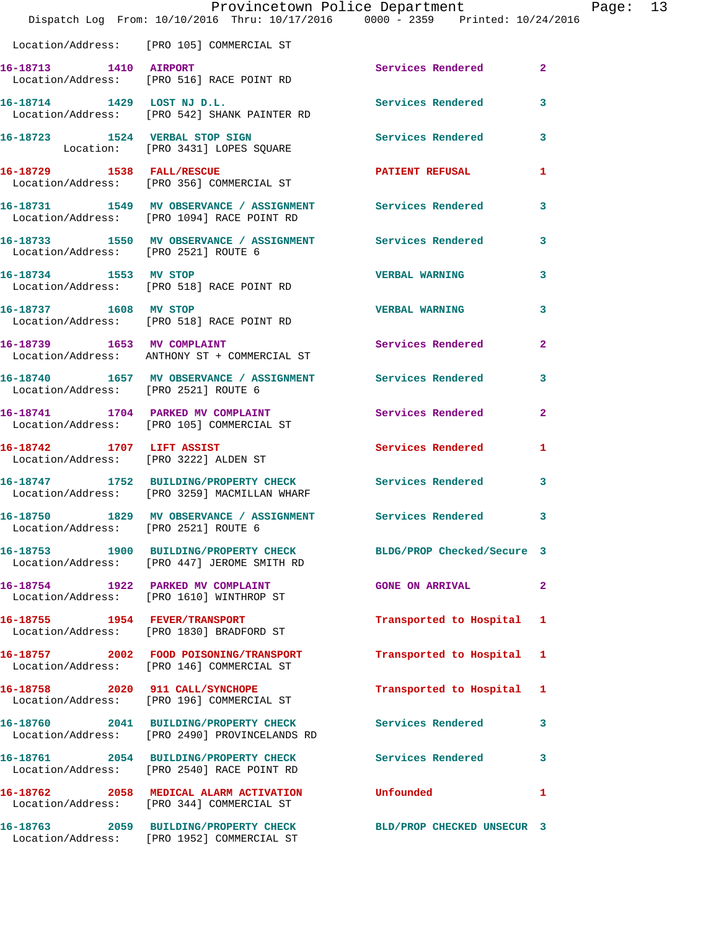|                                      | Dispatch Log From: 10/10/2016 Thru: 10/17/2016 0000 - 2359 Printed: 10/24/2016                                  | Provincetown Police Department | Page: 13                |  |
|--------------------------------------|-----------------------------------------------------------------------------------------------------------------|--------------------------------|-------------------------|--|
|                                      | Location/Address: [PRO 105] COMMERCIAL ST                                                                       |                                |                         |  |
|                                      | 16-18713 1410 AIRPORT<br>Location/Address: [PRO 516] RACE POINT RD                                              | Services Rendered              | $\mathbf{2}$            |  |
|                                      | 16-18714 1429 LOST NJ D.L.<br>Location/Address: [PRO 542] SHANK PAINTER RD                                      | Services Rendered              | $\mathbf{3}$            |  |
|                                      | 16-18723 1524 VERBAL STOP SIGN<br>Location: [PRO 3431] LOPES SQUARE                                             | Services Rendered 3            |                         |  |
|                                      | 16-18729 1538 FALL/RESCUE<br>Location/Address: [PRO 356] COMMERCIAL ST                                          | <b>PATIENT REFUSAL</b>         | 1                       |  |
|                                      | 16-18731 1549 MV OBSERVANCE / ASSIGNMENT Services Rendered 3<br>Location/Address: [PRO 1094] RACE POINT RD      |                                |                         |  |
| Location/Address: [PRO 2521] ROUTE 6 | 16-18733 1550 MV OBSERVANCE / ASSIGNMENT Services Rendered                                                      |                                | 3                       |  |
| 16-18734 1553 MV STOP                | Location/Address: [PRO 518] RACE POINT RD                                                                       | <b>VERBAL WARNING</b>          | $\overline{\mathbf{3}}$ |  |
|                                      | 16-18737 1608 MV STOP<br>Location/Address: [PRO 518] RACE POINT RD                                              | <b>VERBAL WARNING</b>          | 3                       |  |
| 16-18739 1653 MV COMPLAINT           | Location/Address: ANTHONY ST + COMMERCIAL ST                                                                    | Services Rendered              | $\overline{2}$          |  |
| Location/Address: [PRO 2521] ROUTE 6 | 16-18740 1657 MV OBSERVANCE / ASSIGNMENT Services Rendered                                                      |                                | 3                       |  |
|                                      | 16-18741 1704 PARKED MV COMPLAINT<br>Location/Address: [PRO 105] COMMERCIAL ST                                  | Services Rendered              | $\mathbf{2}$            |  |
|                                      | 16-18742 1707 LIFT ASSIST<br>Location/Address: [PRO 3222] ALDEN ST                                              | Services Rendered              | $\mathbf{1}$            |  |
|                                      | 16-18747 1752 BUILDING/PROPERTY CHECK<br>Location/Address: [PRO 3259] MACMILLAN WHARF                           | Services Rendered              | 3                       |  |
| Location/Address: [PRO 2521] ROUTE 6 | 16-18750 1829 MV OBSERVANCE / ASSIGNMENT Services Rendered                                                      |                                | 3                       |  |
|                                      | 16-18753 1900 BUILDING/PROPERTY CHECK BLDG/PROP Checked/Secure 3<br>Location/Address: [PRO 447] JEROME SMITH RD |                                |                         |  |
|                                      | 16-18754 1922 PARKED MV COMPLAINT<br>Location/Address: [PRO 1610] WINTHROP ST                                   | <b>GONE ON ARRIVAL</b>         | $\overline{2}$          |  |
|                                      | 16-18755 1954 FEVER/TRANSPORT<br>Location/Address: [PRO 1830] BRADFORD ST                                       | Transported to Hospital 1      |                         |  |
|                                      | 16-18757 2002 FOOD POISONING/TRANSPORT<br>Location/Address: [PRO 146] COMMERCIAL ST                             | Transported to Hospital 1      |                         |  |
|                                      | 16-18758 2020 911 CALL/SYNCHOPE<br>Location/Address: [PRO 196] COMMERCIAL ST                                    | Transported to Hospital 1      |                         |  |
|                                      | 16-18760 2041 BUILDING/PROPERTY CHECK<br>Location/Address: [PRO 2490] PROVINCELANDS RD                          | <b>Services Rendered</b>       | 3                       |  |
|                                      | 16-18761 2054 BUILDING/PROPERTY CHECK<br>Location/Address: [PRO 2540] RACE POINT RD                             | Services Rendered              | 3                       |  |
|                                      | 16-18762 2058 MEDICAL ALARM ACTIVATION<br>Location/Address: [PRO 344] COMMERCIAL ST                             | Unfounded                      | 1                       |  |
|                                      | 16-18763 2059 BUILDING/PROPERTY CHECK<br>Location/Address: [PRO 1952] COMMERCIAL ST                             | BLD/PROP CHECKED UNSECUR 3     |                         |  |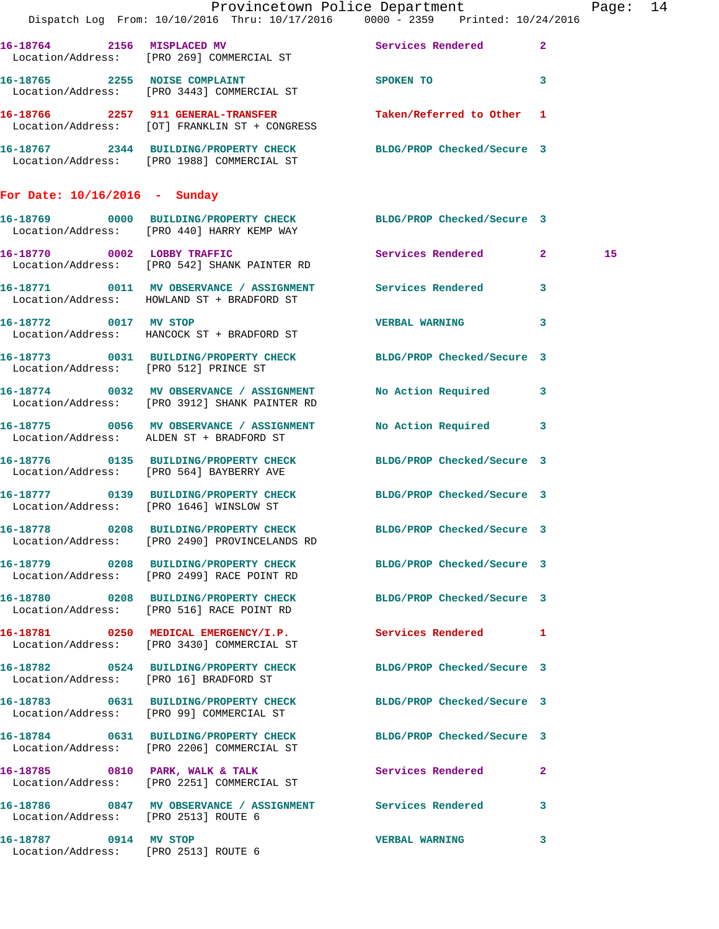|                                       | Dispatch Log From: 10/10/2016 Thru: 10/17/2016 0000 - 2359 Printed: 10/24/2016                                  | Provincetown Police Department |              | Page: 14 |  |
|---------------------------------------|-----------------------------------------------------------------------------------------------------------------|--------------------------------|--------------|----------|--|
|                                       |                                                                                                                 |                                |              |          |  |
|                                       | 16-18764 2156 MISPLACED MV<br>Location/Address: [PRO 269] COMMERCIAL ST                                         | Services Rendered 2            |              |          |  |
|                                       | 16-18765 2255 NOISE COMPLAINT<br>Location/Address: [PRO 3443] COMMERCIAL ST                                     | SPOKEN TO                      | $\mathbf{3}$ |          |  |
|                                       | 16-18766 2257 911 GENERAL-TRANSFER Taken/Referred to Other 1<br>Location/Address: [OT] FRANKLIN ST + CONGRESS   |                                |              |          |  |
|                                       | 16-18767 2344 BUILDING/PROPERTY CHECK BLDG/PROP Checked/Secure 3<br>Location/Address: [PRO 1988] COMMERCIAL ST  |                                |              |          |  |
| For Date: $10/16/2016$ - Sunday       |                                                                                                                 |                                |              |          |  |
|                                       | 16-18769 0000 BUILDING/PROPERTY CHECK BLDG/PROP Checked/Secure 3<br>Location/Address: [PRO 440] HARRY KEMP WAY  |                                |              |          |  |
|                                       | 16-18770 0002 LOBBY TRAFFIC<br>Location/Address: [PRO 542] SHANK PAINTER RD                                     | Services Rendered 2            |              | 15       |  |
|                                       | 16-18771 0011 MV OBSERVANCE / ASSIGNMENT Services Rendered 3<br>Location/Address: HOWLAND ST + BRADFORD ST      |                                |              |          |  |
| 16-18772 0017 MV STOP                 | Location/Address: HANCOCK ST + BRADFORD ST                                                                      | VERBAL WARNING 3               |              |          |  |
| Location/Address: [PRO 512] PRINCE ST | 16-18773 0031 BUILDING/PROPERTY CHECK BLDG/PROP Checked/Secure 3                                                |                                |              |          |  |
|                                       | 16-18774 0032 MV OBSERVANCE / ASSIGNMENT No Action Required 3<br>Location/Address: [PRO 3912] SHANK PAINTER RD  |                                |              |          |  |
|                                       | 16-18775 0056 MV OBSERVANCE / ASSIGNMENT<br>Location/Address: ALDEN ST + BRADFORD ST                            | No Action Required 3           |              |          |  |
|                                       | 16-18776 0135 BUILDING/PROPERTY CHECK BLDG/PROP Checked/Secure 3<br>Location/Address: [PRO 564] BAYBERRY AVE    |                                |              |          |  |
|                                       | 16-18777   0139   BUILDING/PROPERTY CHECK BLDG/PROP Checked/Secure 3<br>Location/Address: [PRO 1646] WINSLOW ST |                                |              |          |  |
|                                       | 16-18778 0208 BUILDING/PROPERTY CHECK<br>Location/Address: [PRO 2490] PROVINCELANDS RD                          | BLDG/PROP Checked/Secure 3     |              |          |  |
|                                       | 16-18779 0208 BUILDING/PROPERTY CHECK BLDG/PROP Checked/Secure 3<br>Location/Address: [PRO 2499] RACE POINT RD  |                                |              |          |  |
|                                       | 16-18780 0208 BUILDING/PROPERTY CHECK<br>Location/Address: [PRO 516] RACE POINT RD                              | BLDG/PROP Checked/Secure 3     |              |          |  |
|                                       | 16-18781 0250 MEDICAL EMERGENCY/I.P.<br>Location/Address: [PRO 3430] COMMERCIAL ST                              | <b>Services Rendered</b> 1     |              |          |  |
|                                       | 16-18782 0524 BUILDING/PROPERTY CHECK BLDG/PROP Checked/Secure 3<br>Location/Address: [PRO 16] BRADFORD ST      |                                |              |          |  |
|                                       | 16-18783 0631 BUILDING/PROPERTY CHECK BLDG/PROP Checked/Secure 3<br>Location/Address: [PRO 99] COMMERCIAL ST    |                                |              |          |  |
|                                       | 16-18784 0631 BUILDING/PROPERTY CHECK BLDG/PROP Checked/Secure 3<br>Location/Address: [PRO 2206] COMMERCIAL ST  |                                |              |          |  |
|                                       | 16-18785 0810 PARK, WALK & TALK 1999 Services Rendered<br>Location/Address: [PRO 2251] COMMERCIAL ST            |                                | $\mathbf{2}$ |          |  |
| Location/Address: [PRO 2513] ROUTE 6  | 16-18786 0847 MV OBSERVANCE / ASSIGNMENT Services Rendered 3                                                    |                                |              |          |  |
| 16-18787 0914 MV STOP                 | Location/Address: [PRO 2513] ROUTE 6                                                                            | <b>VERBAL WARNING</b>          | 3            |          |  |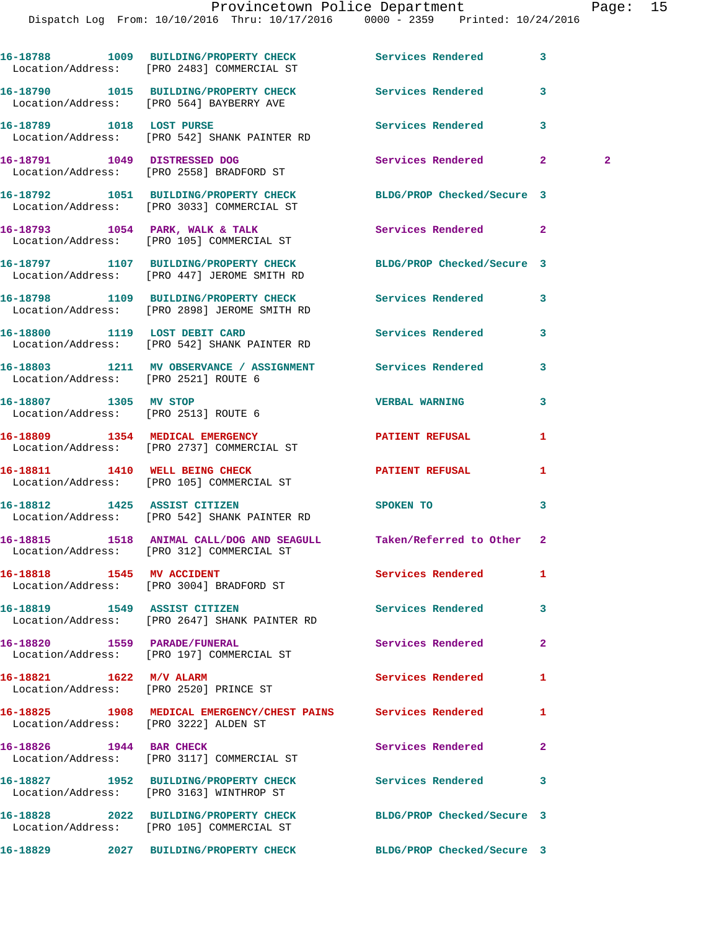|                                                               | Dispatch Log From: 10/10/2016 Thru: 10/17/2016 0000 - 2359 Printed: 10/24/2016                                   |                            |                              |  |
|---------------------------------------------------------------|------------------------------------------------------------------------------------------------------------------|----------------------------|------------------------------|--|
|                                                               | 16-18788 1009 BUILDING/PROPERTY CHECK Services Rendered<br>Location/Address: [PRO 2483] COMMERCIAL ST            |                            | 3                            |  |
|                                                               | 16-18790 1015 BUILDING/PROPERTY CHECK Services Rendered<br>Location/Address: [PRO 564] BAYBERRY AVE              |                            | 3                            |  |
| 16-18789 1018 LOST PURSE                                      | Location/Address: [PRO 542] SHANK PAINTER RD                                                                     | Services Rendered          | 3                            |  |
|                                                               | 16-18791 1049 DISTRESSED DOG<br>Location/Address: [PRO 2558] BRADFORD ST                                         | Services Rendered          | $\mathbf{2}$<br>$\mathbf{2}$ |  |
|                                                               | 16-18792 1051 BUILDING/PROPERTY CHECK BLDG/PROP Checked/Secure 3<br>Location/Address: [PRO 3033] COMMERCIAL ST   |                            |                              |  |
|                                                               | 16-18793 1054 PARK, WALK & TALK<br>Location/Address: [PRO 105] COMMERCIAL ST                                     | Services Rendered          | $\mathbf{2}$                 |  |
|                                                               | 16-18797 1107 BUILDING/PROPERTY CHECK BLDG/PROP Checked/Secure 3<br>Location/Address: [PRO 447] JEROME SMITH RD  |                            |                              |  |
|                                                               | 16-18798 1109 BUILDING/PROPERTY CHECK Services Rendered<br>Location/Address: [PRO 2898] JEROME SMITH RD          |                            | 3                            |  |
|                                                               | 16-18800 1119 LOST DEBIT CARD<br>Location/Address: [PRO 542] SHANK PAINTER RD                                    | Services Rendered          | 3                            |  |
| Location/Address: [PRO 2521] ROUTE 6                          | 16-18803 1211 MV OBSERVANCE / ASSIGNMENT Services Rendered                                                       |                            | 3                            |  |
| 16-18807 1305 MV STOP<br>Location/Address: [PRO 2513] ROUTE 6 |                                                                                                                  | <b>VERBAL WARNING</b>      | 3                            |  |
|                                                               | 16-18809 1354 MEDICAL EMERGENCY<br>Location/Address: [PRO 2737] COMMERCIAL ST                                    | PATIENT REFUSAL            | 1                            |  |
|                                                               | 16-18811 1410 WELL BEING CHECK<br>Location/Address: [PRO 105] COMMERCIAL ST                                      | PATIENT REFUSAL            | 1                            |  |
|                                                               | 16-18812 1425 ASSIST CITIZEN<br>Location/Address: [PRO 542] SHANK PAINTER RD                                     | SPOKEN TO                  | 3                            |  |
|                                                               | 16-18815 1518 ANIMAL CALL/DOG AND SEAGULL Taken/Referred to Other 2<br>Location/Address: [PRO 312] COMMERCIAL ST |                            |                              |  |
|                                                               | 16-18818 1545 MV ACCIDENT<br>Location/Address: [PRO 3004] BRADFORD ST                                            | Services Rendered          | 1                            |  |
| 16-18819 1549 ASSIST CITIZEN                                  | Location/Address: [PRO 2647] SHANK PAINTER RD                                                                    | Services Rendered          | 3                            |  |
|                                                               | 16-18820 1559 PARADE/FUNERAL<br>Location/Address: [PRO 197] COMMERCIAL ST                                        | Services Rendered          | $\mathbf{2}$                 |  |
| 16-18821 1622 M/V ALARM                                       | Location/Address: [PRO 2520] PRINCE ST                                                                           | <b>Services Rendered</b>   | 1                            |  |
| Location/Address: [PRO 3222] ALDEN ST                         | 16-18825 1908 MEDICAL EMERGENCY/CHEST PAINS Services Rendered                                                    |                            | 1                            |  |
| 16-18826 1944 BAR CHECK                                       | Location/Address: [PRO 3117] COMMERCIAL ST                                                                       | Services Rendered          | $\mathbf{2}$                 |  |
|                                                               | 16-18827 1952 BUILDING/PROPERTY CHECK<br>Location/Address: [PRO 3163] WINTHROP ST                                | Services Rendered          | 3                            |  |
|                                                               | 16-18828 2022 BUILDING/PROPERTY CHECK<br>Location/Address: [PRO 105] COMMERCIAL ST                               | BLDG/PROP Checked/Secure 3 |                              |  |
|                                                               | 16-18829 2027 BUILDING/PROPERTY CHECK BLDG/PROP Checked/Secure 3                                                 |                            |                              |  |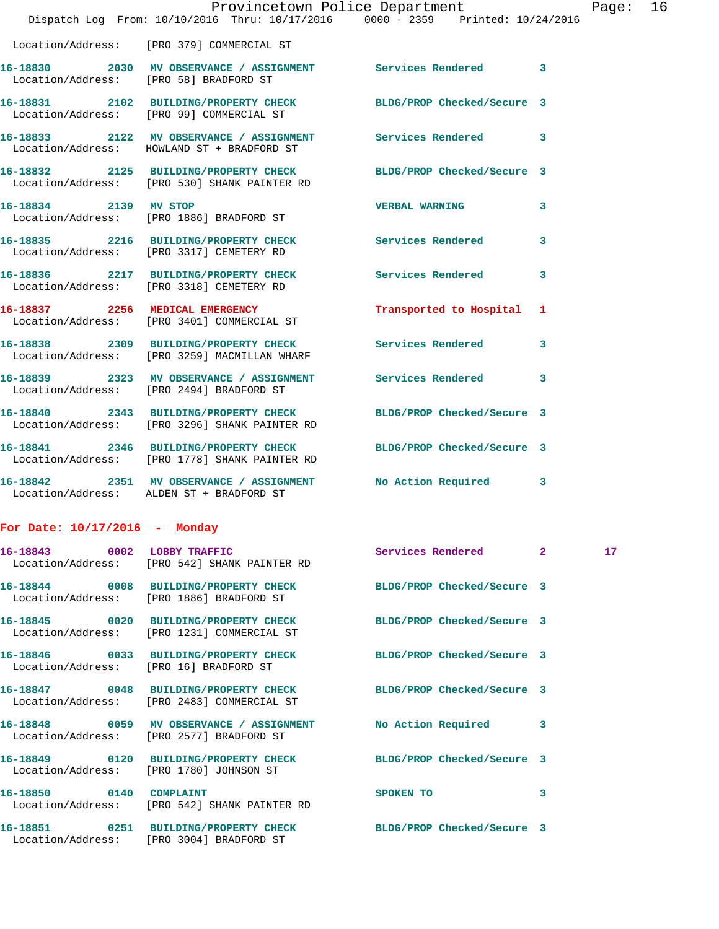|                                        |                                                                                                                   | Provincetown Police Department | Page: 16     |
|----------------------------------------|-------------------------------------------------------------------------------------------------------------------|--------------------------------|--------------|
|                                        | Dispatch Log From: 10/10/2016 Thru: 10/17/2016 0000 - 2359 Printed: 10/24/2016                                    |                                |              |
|                                        | Location/Address: [PRO 379] COMMERCIAL ST                                                                         |                                |              |
| Location/Address: [PRO 58] BRADFORD ST | 16-18830 2030 MV OBSERVANCE / ASSIGNMENT Services Rendered 3                                                      |                                |              |
|                                        | 16-18831 2102 BUILDING/PROPERTY CHECK BLDG/PROP Checked/Secure 3<br>Location/Address: [PRO 99] COMMERCIAL ST      |                                |              |
|                                        | 16-18833 2122 MV OBSERVANCE / ASSIGNMENT Services Rendered<br>Location/Address: HOWLAND ST + BRADFORD ST          |                                | $\mathbf{3}$ |
|                                        | 16-18832 2125 BUILDING/PROPERTY CHECK BLDG/PROP Checked/Secure 3<br>Location/Address: [PRO 530] SHANK PAINTER RD  |                                |              |
| 16-18834 2139 MV STOP                  | Location/Address: [PRO 1886] BRADFORD ST                                                                          | <b>VERBAL WARNING</b>          | $\mathbf{3}$ |
|                                        | 16-18835 2216 BUILDING/PROPERTY CHECK Services Rendered<br>Location/Address: [PRO 3317] CEMETERY RD               |                                | 3            |
|                                        | 16-18836 2217 BUILDING/PROPERTY CHECK<br>Location/Address: [PRO 3318] CEMETERY RD                                 | Services Rendered 3            |              |
|                                        | 16-18837 2256 MEDICAL EMERGENCY<br>Location/Address: [PRO 3401] COMMERCIAL ST                                     | Transported to Hospital 1      |              |
|                                        | 16-18838 2309 BUILDING/PROPERTY CHECK<br>Location/Address: [PRO 3259] MACMILLAN WHARF                             | Services Rendered 3            |              |
|                                        | 16-18839 2323 MV OBSERVANCE / ASSIGNMENT Services Rendered<br>Location/Address: [PRO 2494] BRADFORD ST            |                                | $\mathbf{3}$ |
|                                        | 16-18840 2343 BUILDING/PROPERTY CHECK BLDG/PROP Checked/Secure 3<br>Location/Address: [PRO 3296] SHANK PAINTER RD |                                |              |
|                                        | 16-18841 2346 BUILDING/PROPERTY CHECK BLDG/PROP Checked/Secure 3<br>Location/Address: [PRO 1778] SHANK PAINTER RD |                                |              |
|                                        | 16-18842 2351 MV OBSERVANCE / ASSIGNMENT No Action Required 3<br>Location/Address: ALDEN ST + BRADFORD ST         |                                |              |

### **For Date: 10/17/2016 - Monday**

| 16-18843 0002 LOBBY TRAFFIC<br>Location/Address: [PRO 542] SHANK PAINTER RD                                    | Services Rendered 2 |                         | 17 <sub>1</sub> |
|----------------------------------------------------------------------------------------------------------------|---------------------|-------------------------|-----------------|
| 16-18844 0008 BUILDING/PROPERTY CHECK BLDG/PROP Checked/Secure 3<br>Location/Address: [PRO 1886] BRADFORD ST   |                     |                         |                 |
| 16-18845 0020 BUILDING/PROPERTY CHECK BLDG/PROP Checked/Secure 3<br>Location/Address: [PRO 1231] COMMERCIAL ST |                     |                         |                 |
| 16-18846 0033 BUILDING/PROPERTY CHECK BLDG/PROP Checked/Secure 3<br>Location/Address: [PRO 16] BRADFORD ST     |                     |                         |                 |
| 16-18847 0048 BUILDING/PROPERTY CHECK BLDG/PROP Checked/Secure 3<br>Location/Address: [PRO 2483] COMMERCIAL ST |                     |                         |                 |
| 16-18848 0059 MV OBSERVANCE / ASSIGNMENT No Action Required 3<br>Location/Address: [PRO 2577] BRADFORD ST      |                     |                         |                 |
| 16-18849 0120 BUILDING/PROPERTY CHECK BLDG/PROP Checked/Secure 3<br>Location/Address: [PRO 1780] JOHNSON ST    |                     |                         |                 |
| 16-18850 0140 COMPLAINT SPOKEN TO<br>Location/Address: [PRO 542] SHANK PAINTER RD                              |                     | $\overline{\mathbf{3}}$ |                 |
| 16-18851 0251 BUILDING/PROPERTY CHECK BLDG/PROP Checked/Secure 3<br>Location/Address: [PRO 3004] BRADFORD ST   |                     |                         |                 |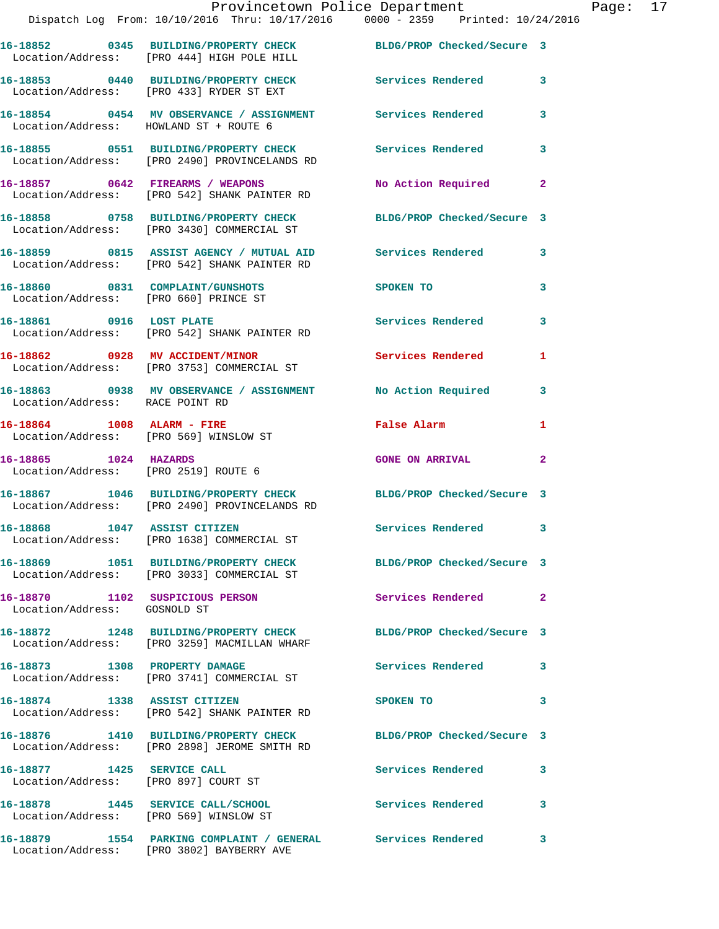|                                                                           | Provincetown Police Department<br>Dispatch Log From: 10/10/2016 Thru: 10/17/2016 0000 - 2359 Printed: 10/24/2016  |                            |                |
|---------------------------------------------------------------------------|-------------------------------------------------------------------------------------------------------------------|----------------------------|----------------|
|                                                                           | 16-18852 0345 BUILDING/PROPERTY CHECK BLDG/PROP Checked/Secure 3<br>Location/Address: [PRO 444] HIGH POLE HILL    |                            |                |
|                                                                           | 16-18853 0440 BUILDING/PROPERTY CHECK Services Rendered<br>Location/Address: [PRO 433] RYDER ST EXT               |                            | 3              |
| Location/Address: HOWLAND ST + ROUTE 6                                    | 16-18854 0454 MV OBSERVANCE / ASSIGNMENT Services Rendered                                                        |                            | 3              |
|                                                                           | 16-18855 0551 BUILDING/PROPERTY CHECK Services Rendered<br>Location/Address: [PRO 2490] PROVINCELANDS RD          |                            | 3              |
|                                                                           | 16-18857 0642 FIREARMS / WEAPONS<br>Location/Address: [PRO 542] SHANK PAINTER RD                                  | No Action Required         | $\mathbf{2}$   |
|                                                                           | 16-18858 0758 BUILDING/PROPERTY CHECK BLDG/PROP Checked/Secure 3<br>Location/Address: [PRO 3430] COMMERCIAL ST    |                            |                |
|                                                                           | 16-18859 0815 ASSIST AGENCY / MUTUAL AID Services Rendered<br>Location/Address: [PRO 542] SHANK PAINTER RD        |                            | 3              |
| 16-18860 0831 COMPLAINT/GUNSHOTS<br>Location/Address: [PRO 660] PRINCE ST |                                                                                                                   | SPOKEN TO                  | 3              |
|                                                                           | 16-18861 0916 LOST PLATE<br>Location/Address: [PRO 542] SHANK PAINTER RD                                          | Services Rendered          | 3              |
|                                                                           | 16-18862 0928 MV ACCIDENT/MINOR<br>Location/Address: [PRO 3753] COMMERCIAL ST                                     | Services Rendered          | 1              |
| Location/Address: RACE POINT RD                                           | 16-18863 0938 MV OBSERVANCE / ASSIGNMENT No Action Required                                                       |                            | 3              |
| 16-18864 1008 ALARM - FIRE                                                | Location/Address: [PRO 569] WINSLOW ST                                                                            | False Alarm                | 1              |
| 16-18865 1024 HAZARDS                                                     | Location/Address: [PRO 2519] ROUTE 6                                                                              | <b>GONE ON ARRIVAL</b>     | $\overline{a}$ |
|                                                                           | 16-18867 1046 BUILDING/PROPERTY CHECK BLDG/PROP Checked/Secure 3<br>Location/Address: [PRO 2490] PROVINCELANDS RD |                            |                |
| 16-18868 1047 ASSIST CITIZEN                                              | Location/Address: [PRO 1638] COMMERCIAL ST                                                                        | Services Rendered          | 3              |
|                                                                           | 16-18869 1051 BUILDING/PROPERTY CHECK BLDG/PROP Checked/Secure 3<br>Location/Address: [PRO 3033] COMMERCIAL ST    |                            |                |
| Location/Address: GOSNOLD ST                                              | 16-18870 1102 SUSPICIOUS PERSON                                                                                   | <b>Services Rendered</b>   | 2              |
|                                                                           | 16-18872 1248 BUILDING/PROPERTY CHECK BLDG/PROP Checked/Secure 3<br>Location/Address: [PRO 3259] MACMILLAN WHARF  |                            |                |
|                                                                           | 16-18873 1308 PROPERTY DAMAGE<br>Location/Address: [PRO 3741] COMMERCIAL ST                                       | <b>Services Rendered</b>   | 3              |
| 16-18874 1338 ASSIST CITIZEN                                              | Location/Address: [PRO 542] SHANK PAINTER RD                                                                      | SPOKEN TO                  | 3              |
|                                                                           | 16-18876  1410 BUILDING/PROPERTY CHECK<br>Location/Address: [PRO 2898] JEROME SMITH RD                            | BLDG/PROP Checked/Secure 3 |                |
| 16-18877 1425 SERVICE CALL<br>Location/Address: [PRO 897] COURT ST        |                                                                                                                   | Services Rendered          | 3              |
| Location/Address: [PRO 569] WINSLOW ST                                    | 16-18878 1445 SERVICE CALL/SCHOOL                                                                                 | <b>Services Rendered</b>   | 3              |
|                                                                           | 16-18879                1554    PARKING COMPLAINT  / GENERAL              Services Rendered                       |                            | 3              |

Location/Address: [PRO 3802] BAYBERRY AVE

Page:  $17<sub>6</sub>$